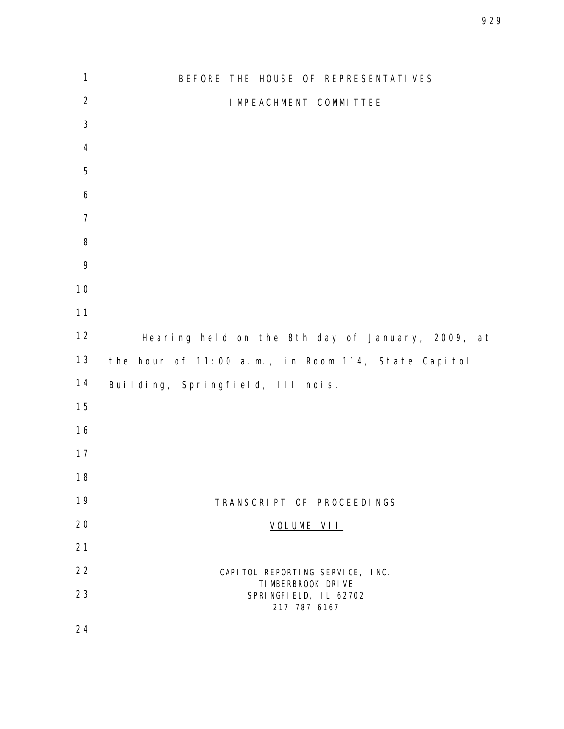BEFORE THE HOUSE OF REPRESENTATIVES IMPEACHMENT COMMITTEE Hearing held on the 8th day of January, 2009, at the hour of 11:00 a.m., in Room 114, State Capitol Building, Springfield, Illinois. TRANSCRIPT OF PROCEEDINGS VOLUME VII 22 CAPITOL REPORTING SERVICE, INC. TIMBERBROOK DRIVE SPRINGFIELD, IL 62702 217-787-6167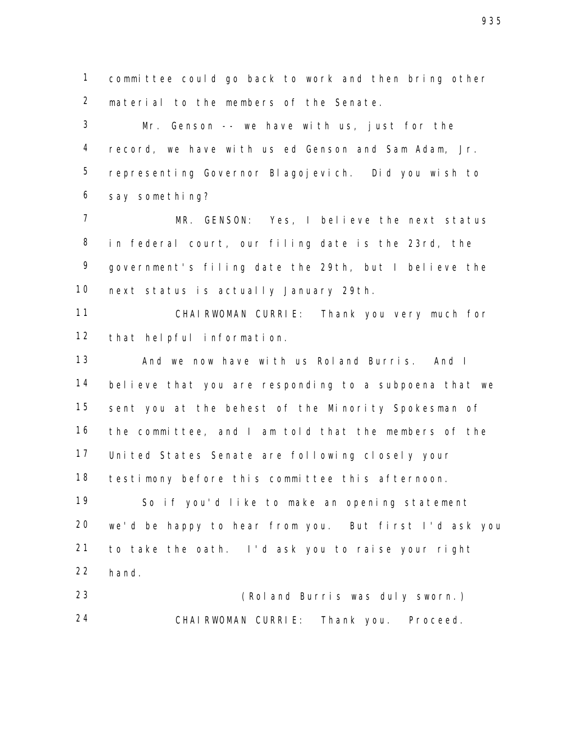committee could go back to work and then bring other material to the members of the Senate.

 Mr. Genson -- we have with us, just for the record, we have with us ed Genson and Sam Adam, Jr. representing Governor Blagojevich. Did you wish to say something?

 MR. GENSON: Yes, I believe the next status in federal court, our filing date is the 23rd, the government's filing date the 29th, but I believe the next status is actually January 29th.

 CHAIRWOMAN CURRIE: Thank you very much for that helpful information.

 And we now have with us Roland Burris. And I believe that you are responding to a subpoena that we sent you at the behest of the Minority Spokesman of the committee, and I am told that the members of the United States Senate are following closely your testimony before this committee this afternoon.

 So if you'd like to make an opening statement we'd be happy to hear from you. But first I'd ask you to take the oath. I'd ask you to raise your right hand.

 (Roland Burris was duly sworn.) CHAIRWOMAN CURRIE: Thank you. Proceed.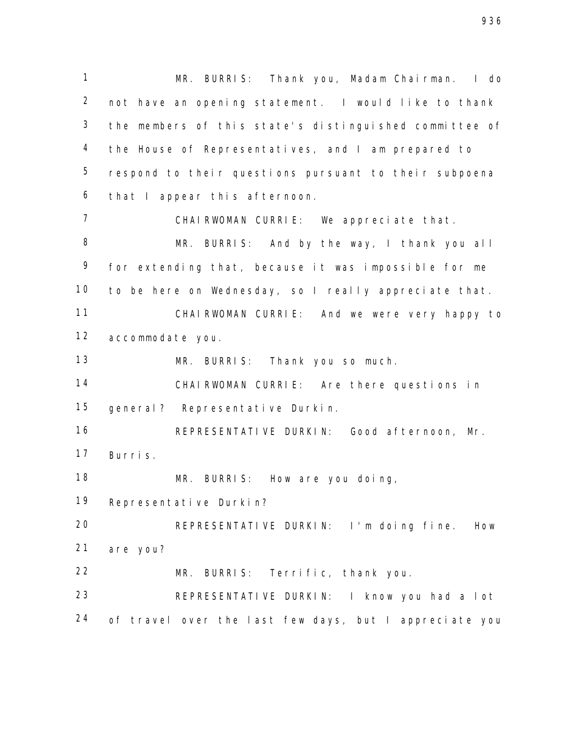MR. BURRIS: Thank you, Madam Chairman. I do not have an opening statement. I would like to thank the members of this state's distinguished committee of the House of Representatives, and I am prepared to respond to their questions pursuant to their subpoena that I appear this afternoon. CHAIRWOMAN CURRIE: We appreciate that. MR. BURRIS: And by the way, I thank you all for extending that, because it was impossible for me to be here on Wednesday, so I really appreciate that. CHAIRWOMAN CURRIE: And we were very happy to accommodate you. MR. BURRIS: Thank you so much. CHAIRWOMAN CURRIE: Are there questions in general? Representative Durkin. REPRESENTATIVE DURKIN: Good afternoon, Mr. Burris. MR. BURRIS: How are you doing, Representative Durkin? REPRESENTATIVE DURKIN: I'm doing fine. How are you? MR. BURRIS: Terrific, thank you. REPRESENTATIVE DURKIN: I know you had a lot 24 of travel over the last few days, but I appreciate you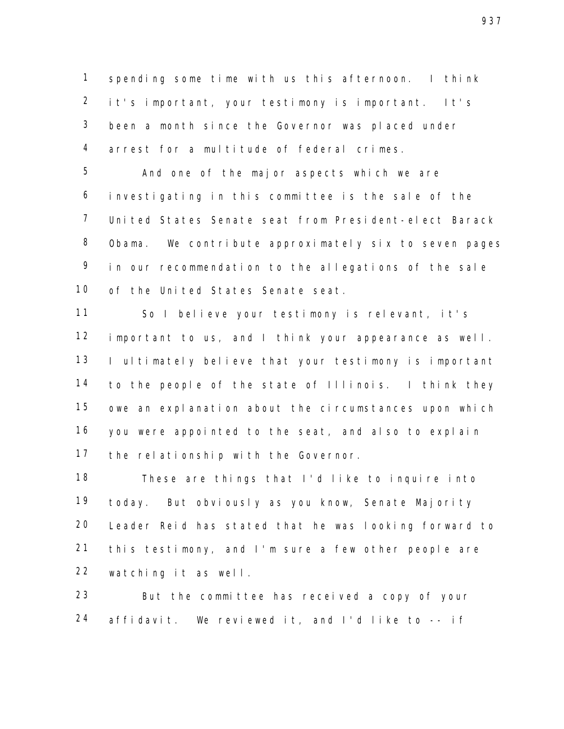spending some time with us this afternoon. I think it's important, your testimony is important. It's been a month since the Governor was placed under arrest for a multitude of federal crimes.

 And one of the major aspects which we are investigating in this committee is the sale of the United States Senate seat from President-elect Barack Obama. We contribute approximately six to seven pages in our recommendation to the allegations of the sale of the United States Senate seat.

 So I believe your testimony is relevant, it's important to us, and I think your appearance as well. 13 I ultimately believe that your testimony is important to the people of the state of Illinois. I think they owe an explanation about the circumstances upon which you were appointed to the seat, and also to explain the relationship with the Governor.

 These are things that I'd like to inquire into today. But obviously as you know, Senate Majority Leader Reid has stated that he was looking forward to this testimony, and I'm sure a few other people are watching it as well.

 But the committee has received a copy of your affidavit. We reviewed it, and I'd like to -- if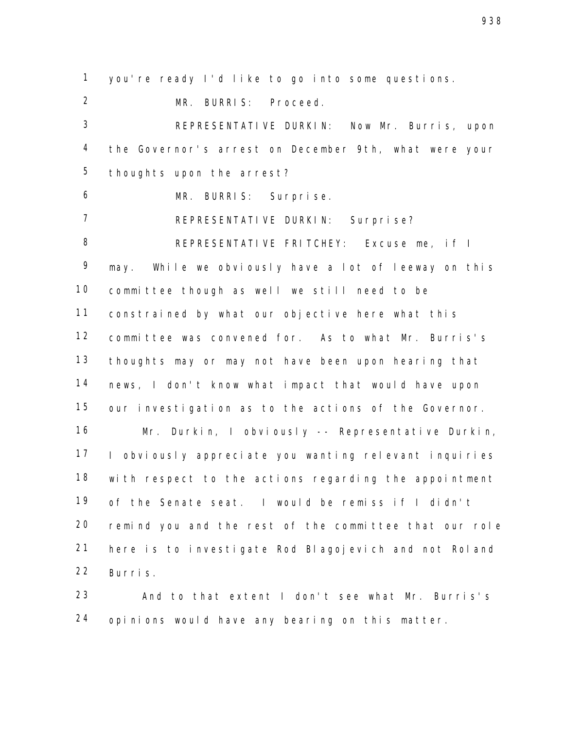you're ready I'd like to go into some questions.

MR. BURRIS: Proceed.

 REPRESENTATIVE DURKIN: Now Mr. Burris, upon the Governor's arrest on December 9th, what were your thoughts upon the arrest?

MR. BURRIS: Surprise.

REPRESENTATIVE DURKIN: Surprise?

 REPRESENTATIVE FRITCHEY: Excuse me, if I may. While we obviously have a lot of leeway on this committee though as well we still need to be constrained by what our objective here what this committee was convened for. As to what Mr. Burris's thoughts may or may not have been upon hearing that news, I don't know what impact that would have upon our investigation as to the actions of the Governor.

 Mr. Durkin, I obviously -- Representative Durkin, I obviously appreciate you wanting relevant inquiries with respect to the actions regarding the appointment of the Senate seat. I would be remiss if I didn't remind you and the rest of the committee that our role here is to investigate Rod Blagojevich and not Roland Burris.

 And to that extent I don't see what Mr. Burris's opinions would have any bearing on this matter.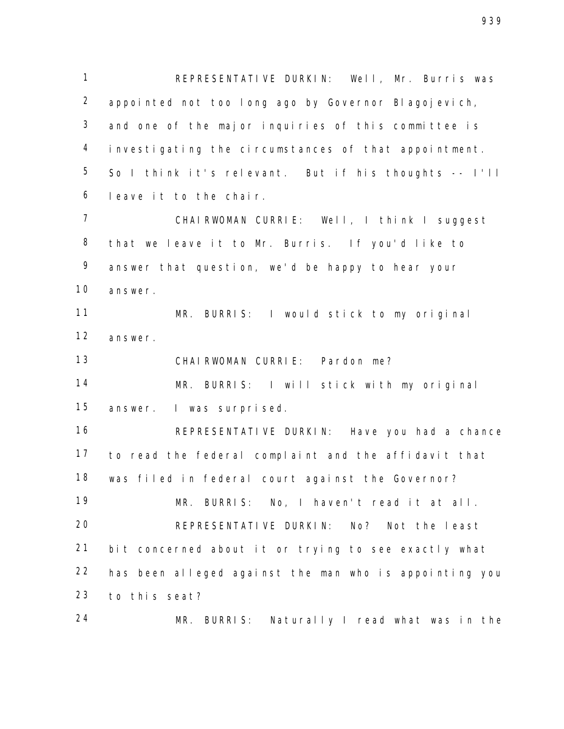REPRESENTATIVE DURKIN: Well, Mr. Burris was appointed not too long ago by Governor Blagojevich, and one of the major inquiries of this committee is investigating the circumstances of that appointment. So I think it's relevant. But if his thoughts -- I'll leave it to the chair.

 CHAIRWOMAN CURRIE: Well, I think I suggest that we leave it to Mr. Burris. If you'd like to answer that question, we'd be happy to hear your answer.

 MR. BURRIS: I would stick to my original answer.

CHAIRWOMAN CURRIE: Pardon me?

 MR. BURRIS: I will stick with my original answer. I was surprised.

 REPRESENTATIVE DURKIN: Have you had a chance to read the federal complaint and the affidavit that was filed in federal court against the Governor? MR. BURRIS: No, I haven't read it at all. REPRESENTATIVE DURKIN: No? Not the least bit concerned about it or trying to see exactly what has been alleged against the man who is appointing you to this seat?

MR. BURRIS: Naturally I read what was in the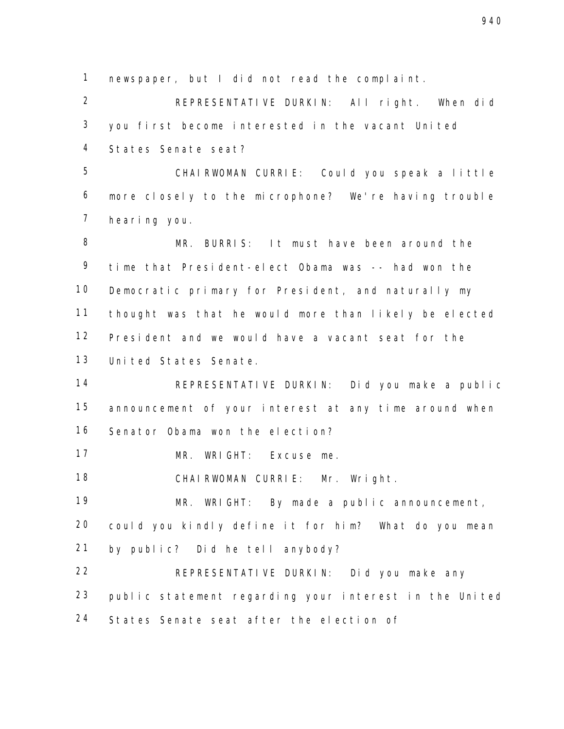newspaper, but I did not read the complaint.

 REPRESENTATIVE DURKIN: All right. When did you first become interested in the vacant United States Senate seat?

 CHAIRWOMAN CURRIE: Could you speak a little more closely to the microphone? We're having trouble hearing you.

 MR. BURRIS: It must have been around the time that President-elect Obama was -- had won the Democratic primary for President, and naturally my thought was that he would more than likely be elected President and we would have a vacant seat for the United States Senate.

 REPRESENTATIVE DURKIN: Did you make a public announcement of your interest at any time around when Senator Obama won the election?

MR. WRIGHT: Excuse me.

CHAIRWOMAN CURRIE: Mr. Wright.

 MR. WRIGHT: By made a public announcement, could you kindly define it for him? What do you mean by public? Did he tell anybody?

 REPRESENTATIVE DURKIN: Did you make any public statement regarding your interest in the United States Senate seat after the election of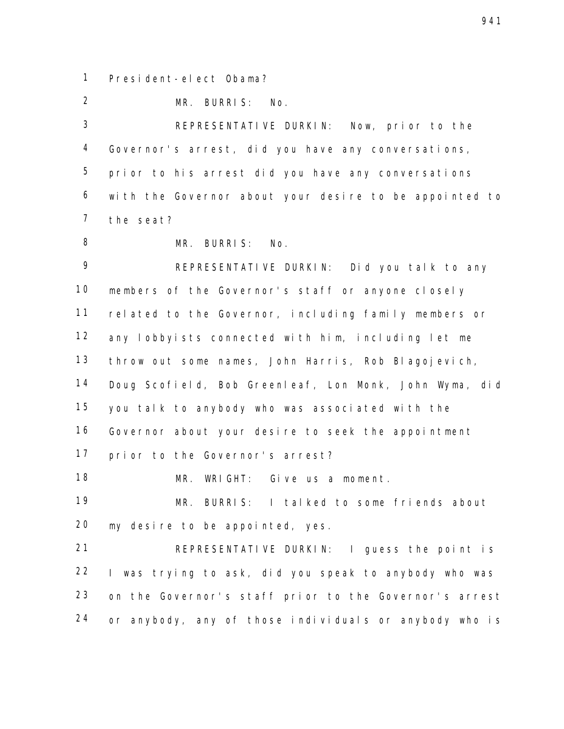President-elect Obama?

MR. BURRIS: No.

 REPRESENTATIVE DURKIN: Now, prior to the Governor's arrest, did you have any conversations, prior to his arrest did you have any conversations with the Governor about your desire to be appointed to the seat?

MR. BURRIS: No.

 REPRESENTATIVE DURKIN: Did you talk to any members of the Governor's staff or anyone closely related to the Governor, including family members or any lobbyists connected with him, including let me throw out some names, John Harris, Rob Blagojevich, Doug Scofield, Bob Greenleaf, Lon Monk, John Wyma, did you talk to anybody who was associated with the Governor about your desire to seek the appointment prior to the Governor's arrest?

MR. WRIGHT: Give us a moment.

 MR. BURRIS: I talked to some friends about my desire to be appointed, yes.

 REPRESENTATIVE DURKIN: I guess the point is I was trying to ask, did you speak to anybody who was on the Governor's staff prior to the Governor's arrest or anybody, any of those individuals or anybody who is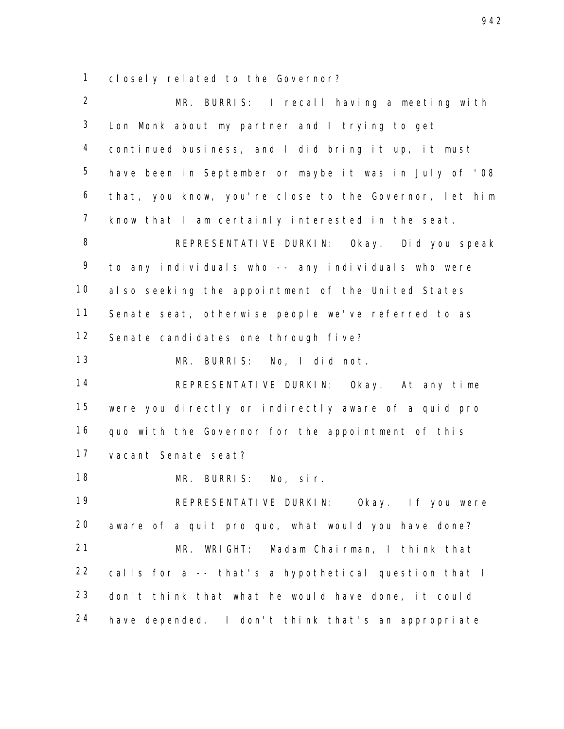closely related to the Governor?

 MR. BURRIS: I recall having a meeting with Lon Monk about my partner and I trying to get continued business, and I did bring it up, it must have been in September or maybe it was in July of '08 that, you know, you're close to the Governor, let him know that I am certainly interested in the seat. REPRESENTATIVE DURKIN: Okay. Did you speak to any individuals who -- any individuals who were also seeking the appointment of the United States Senate seat, otherwise people we've referred to as Senate candidates one through five? MR. BURRIS: No, I did not. REPRESENTATIVE DURKIN: Okay. At any time were you directly or indirectly aware of a quid pro quo with the Governor for the appointment of this vacant Senate seat? MR. BURRIS: No, sir. REPRESENTATIVE DURKIN: Okay. If you were aware of a quit pro quo, what would you have done? MR. WRIGHT: Madam Chairman, I think that calls for a -- that's a hypothetical question that I don't think that what he would have done, it could have depended. I don't think that's an appropriate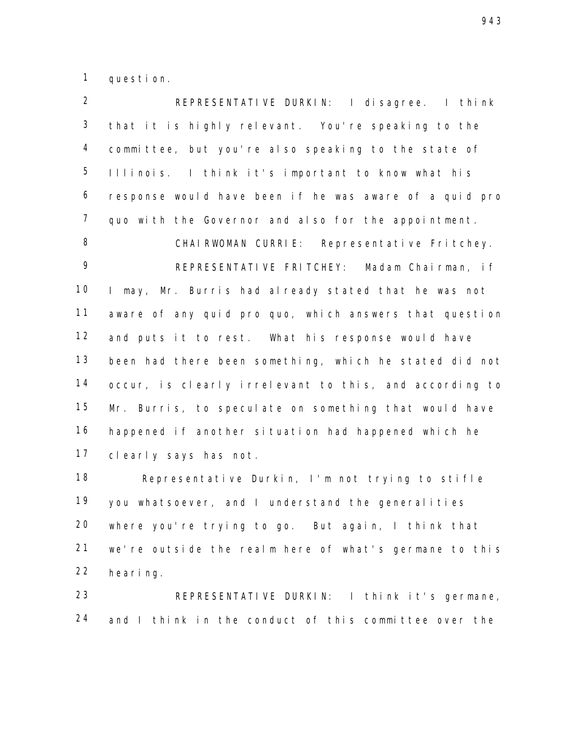question.

 REPRESENTATIVE DURKIN: I disagree. I think that it is highly relevant. You're speaking to the committee, but you're also speaking to the state of Illinois. I think it's important to know what his response would have been if he was aware of a quid pro quo with the Governor and also for the appointment. 8 CHAIRWOMAN CURRIE: Representative Fritchey. REPRESENTATIVE FRITCHEY: Madam Chairman, if I may, Mr. Burris had already stated that he was not aware of any quid pro quo, which answers that question and puts it to rest. What his response would have been had there been something, which he stated did not occur, is clearly irrelevant to this, and according to Mr. Burris, to speculate on something that would have happened if another situation had happened which he clearly says has not.

 Representative Durkin, I'm not trying to stifle you whatsoever, and I understand the generalities where you're trying to go. But again, I think that we're outside the realm here of what's germane to this hearing.

 REPRESENTATIVE DURKIN: I think it's germane, 24 and I think in the conduct of this committee over the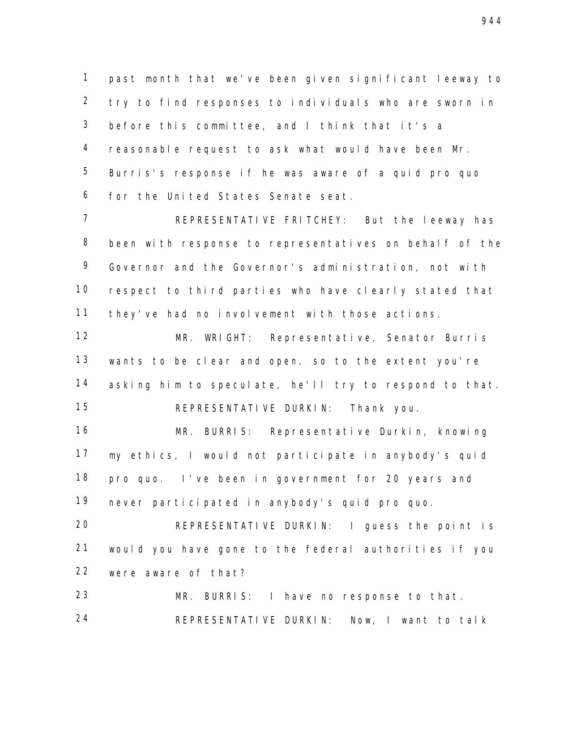past month that we've been given significant leeway to try to find responses to individuals who are sworn in before this committee, and I think that it's a reasonable request to ask what would have been Mr. Burris's response if he was aware of a quid pro quo for the United States Senate seat.

 REPRESENTATIVE FRITCHEY: But the leeway has been with response to representatives on behalf of the Governor and the Governor's administration, not with respect to third parties who have clearly stated that they've had no involvement with those actions.

 MR. WRIGHT: Representative, Senator Burris wants to be clear and open, so to the extent you're 14 asking him to speculate, he'll try to respond to that. REPRESENTATIVE DURKIN: Thank you.

 MR. BURRIS: Representative Durkin, knowing my ethics, I would not participate in anybody's quid pro quo. I've been in government for 20 years and never participated in anybody's quid pro quo.

 REPRESENTATIVE DURKIN: I guess the point is would you have gone to the federal authorities if you were aware of that?

 MR. BURRIS: I have no response to that. REPRESENTATIVE DURKIN: Now, I want to talk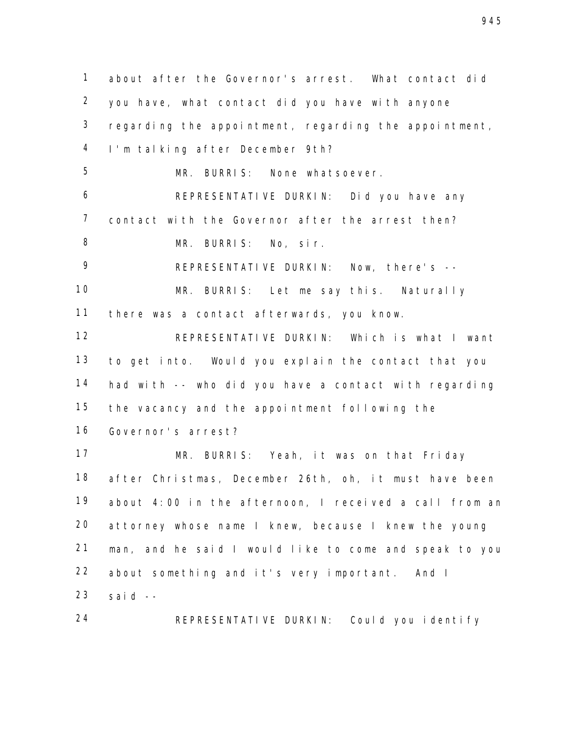about after the Governor's arrest. What contact did you have, what contact did you have with anyone regarding the appointment, regarding the appointment, I'm talking after December 9th? MR. BURRIS: None whatsoever. REPRESENTATIVE DURKIN: Did you have any contact with the Governor after the arrest then? MR. BURRIS: No, sir. REPRESENTATIVE DURKIN: Now, there's -- MR. BURRIS: Let me say this. Naturally there was a contact afterwards, you know. REPRESENTATIVE DURKIN: Which is what I want to get into. Would you explain the contact that you had with -- who did you have a contact with regarding the vacancy and the appointment following the Governor's arrest? MR. BURRIS: Yeah, it was on that Friday after Christmas, December 26th, oh, it must have been about 4:00 in the afternoon, I received a call from an attorney whose name I knew, because I knew the young man, and he said I would like to come and speak to you about something and it's very important. And I said  $-$ REPRESENTATIVE DURKIN: Could you identify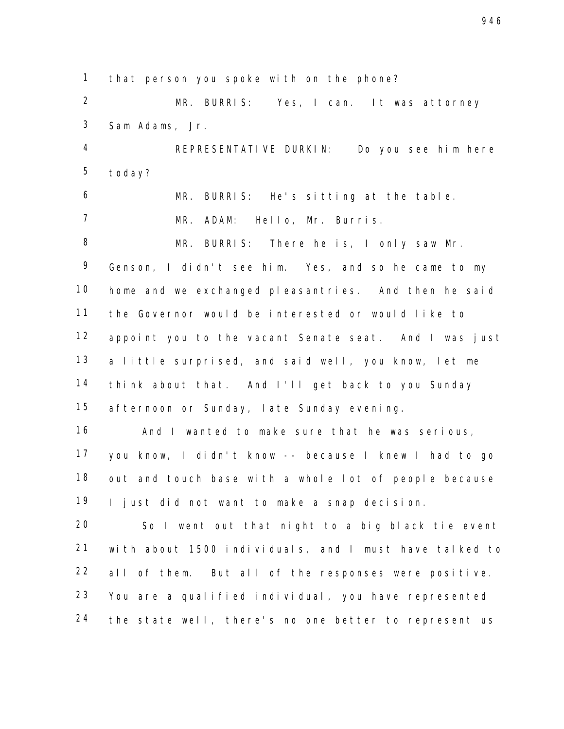that person you spoke with on the phone?

 MR. BURRIS: Yes, I can. It was attorney Sam Adams, Jr.

 REPRESENTATIVE DURKIN: Do you see him here today?

 MR. BURRIS: He's sitting at the table. MR. ADAM: Hello, Mr. Burris.

 MR. BURRIS: There he is, I only saw Mr. Genson, I didn't see him. Yes, and so he came to my home and we exchanged pleasantries. And then he said the Governor would be interested or would like to appoint you to the vacant Senate seat. And I was just a little surprised, and said well, you know, let me think about that. And I'll get back to you Sunday afternoon or Sunday, late Sunday evening.

 And I wanted to make sure that he was serious, you know, I didn't know -- because I knew I had to go out and touch base with a whole lot of people because I just did not want to make a snap decision.

 So I went out that night to a big black tie event with about 1500 individuals, and I must have talked to all of them. But all of the responses were positive. You are a qualified individual, you have represented the state well, there's no one better to represent us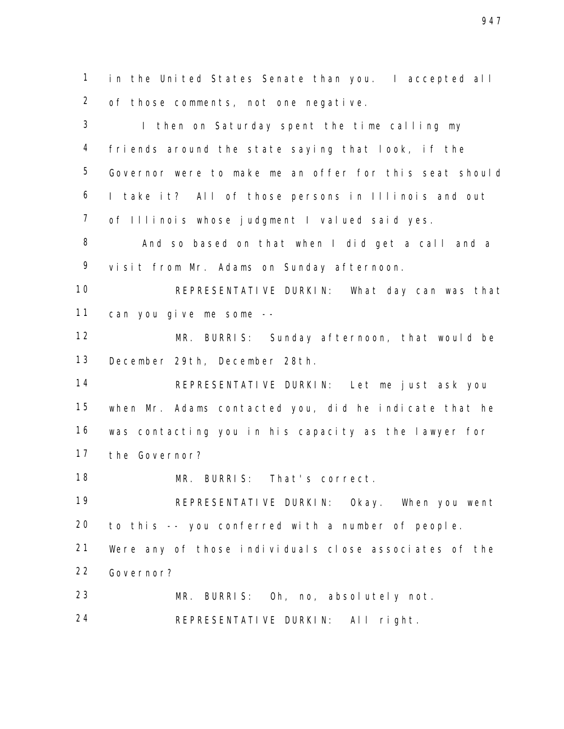in the United States Senate than you. I accepted all of those comments, not one negative.

3 I then on Saturday spent the time calling my friends around the state saying that look, if the Governor were to make me an offer for this seat should I take it? All of those persons in Illinois and out of Illinois whose judgment I valued said yes.

 And so based on that when I did get a call and a visit from Mr. Adams on Sunday afternoon.

 REPRESENTATIVE DURKIN: What day can was that can you give me some --

 MR. BURRIS: Sunday afternoon, that would be December 29th, December 28th.

 REPRESENTATIVE DURKIN: Let me just ask you when Mr. Adams contacted you, did he indicate that he was contacting you in his capacity as the lawyer for the Governor?

MR. BURRIS: That's correct.

 REPRESENTATIVE DURKIN: Okay. When you went to this -- you conferred with a number of people.

 Were any of those individuals close associates of the Governor?

 MR. BURRIS: Oh, no, absolutely not. REPRESENTATIVE DURKIN: All right.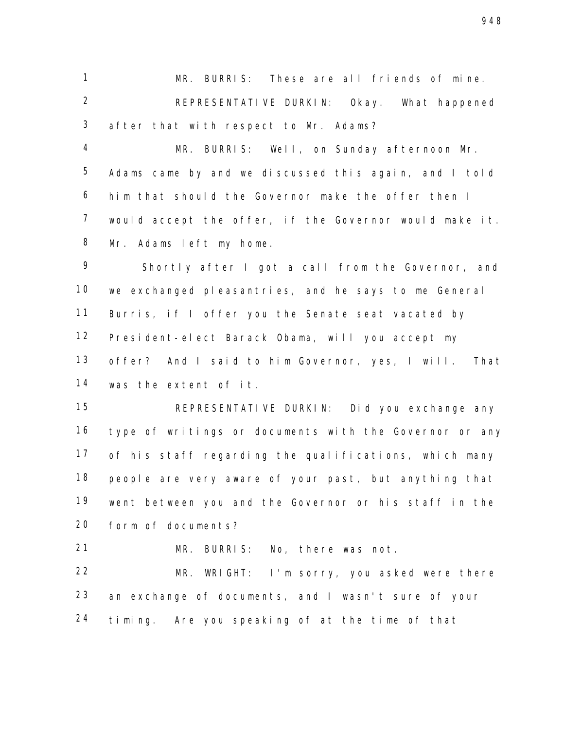MR. BURRIS: These are all friends of mine. REPRESENTATIVE DURKIN: Okay. What happened after that with respect to Mr. Adams?

 MR. BURRIS: Well, on Sunday afternoon Mr. Adams came by and we discussed this again, and I told him that should the Governor make the offer then I would accept the offer, if the Governor would make it. Mr. Adams left my home.

 Shortly after I got a call from the Governor, and we exchanged pleasantries, and he says to me General Burris, if I offer you the Senate seat vacated by President-elect Barack Obama, will you accept my offer? And I said to him Governor, yes, I will. That was the extent of it.

 REPRESENTATIVE DURKIN: Did you exchange any type of writings or documents with the Governor or any of his staff regarding the qualifications, which many people are very aware of your past, but anything that went between you and the Governor or his staff in the form of documents?

MR. BURRIS: No, there was not.

 MR. WRIGHT: I'm sorry, you asked were there an exchange of documents, and I wasn't sure of your timing. Are you speaking of at the time of that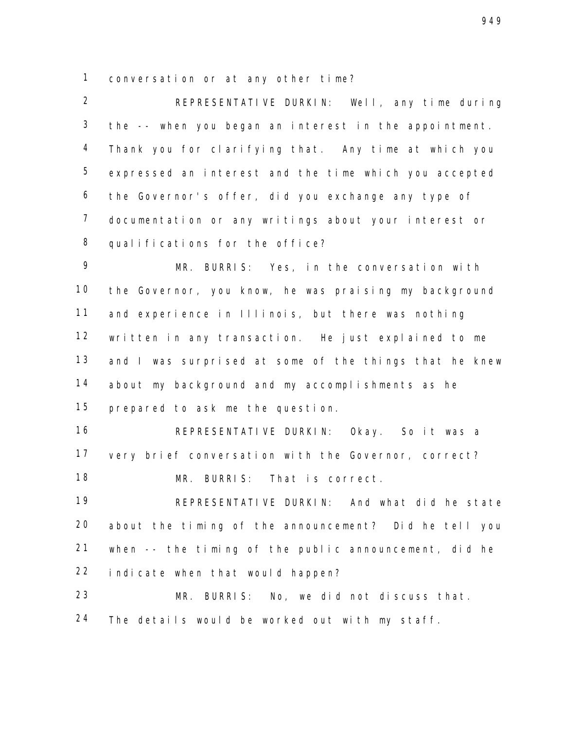conversation or at any other time?

 REPRESENTATIVE DURKIN: Well, any time during the -- when you began an interest in the appointment. Thank you for clarifying that. Any time at which you expressed an interest and the time which you accepted the Governor's offer, did you exchange any type of documentation or any writings about your interest or qualifications for the office?

 MR. BURRIS: Yes, in the conversation with the Governor, you know, he was praising my background and experience in Illinois, but there was nothing written in any transaction. He just explained to me 13 and I was surprised at some of the things that he knew about my background and my accomplishments as he prepared to ask me the question.

 REPRESENTATIVE DURKIN: Okay. So it was a very brief conversation with the Governor, correct? MR. BURRIS: That is correct.

 REPRESENTATIVE DURKIN: And what did he state about the timing of the announcement? Did he tell you when -- the timing of the public announcement, did he indicate when that would happen?

 MR. BURRIS: No, we did not discuss that. The details would be worked out with my staff.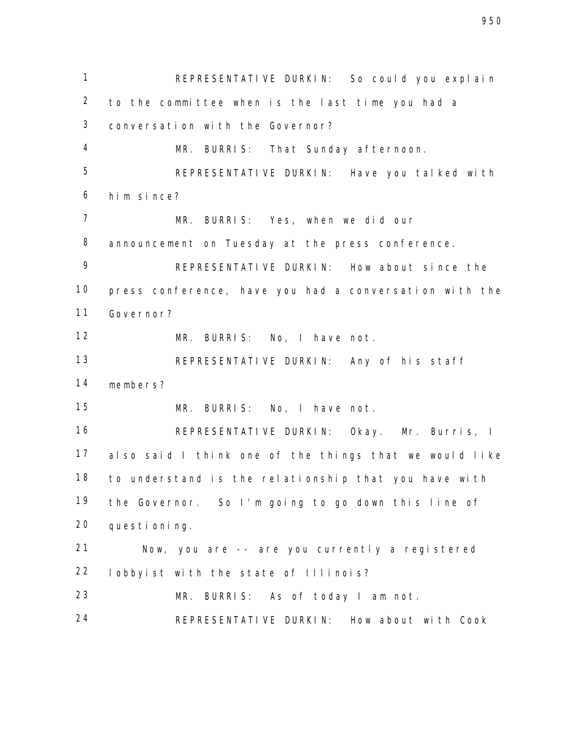REPRESENTATIVE DURKIN: So could you explain to the committee when is the last time you had a conversation with the Governor? MR. BURRIS: That Sunday afternoon. REPRESENTATIVE DURKIN: Have you talked with him since? MR. BURRIS: Yes, when we did our announcement on Tuesday at the press conference. REPRESENTATIVE DURKIN: How about since the press conference, have you had a conversation with the Governor? MR. BURRIS: No, I have not. REPRESENTATIVE DURKIN: Any of his staff members? MR. BURRIS: No, I have not. REPRESENTATIVE DURKIN: Okay. Mr. Burris, I also said I think one of the things that we would like to understand is the relationship that you have with the Governor. So I'm going to go down this line of questioning. Now, you are -- are you currently a registered lobbyist with the state of Illinois? MR. BURRIS: As of today I am not. REPRESENTATIVE DURKIN: How about with Cook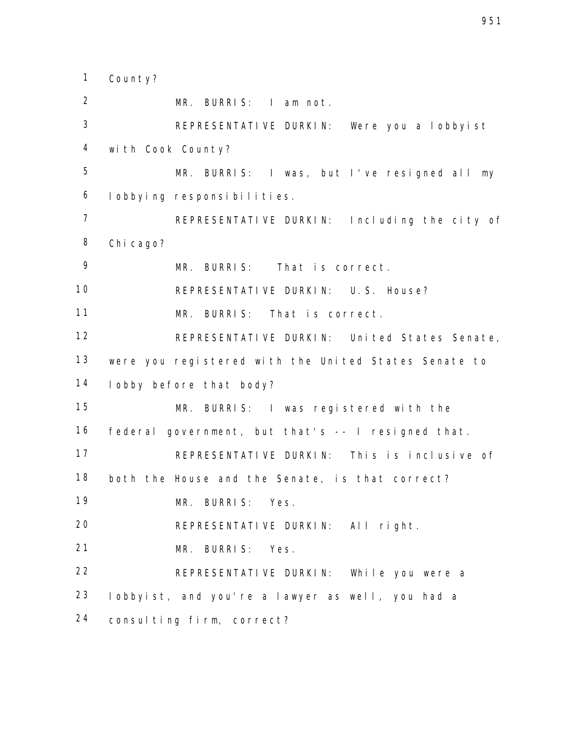County?

 MR. BURRIS: I am not. REPRESENTATIVE DURKIN: Were you a lobbyist with Cook County? MR. BURRIS: I was, but I've resigned all my lobbying responsibilities. REPRESENTATIVE DURKIN: Including the city of Chicago? MR. BURRIS: That is correct. REPRESENTATIVE DURKIN: U.S. House? MR. BURRIS: That is correct. REPRESENTATIVE DURKIN: United States Senate, were you registered with the United States Senate to lobby before that body? MR. BURRIS: I was registered with the federal government, but that's -- I resigned that. 17 REPRESENTATIVE DURKIN: This is inclusive of both the House and the Senate, is that correct? MR. BURRIS: Yes. REPRESENTATIVE DURKIN: All right. MR. BURRIS: Yes. REPRESENTATIVE DURKIN: While you were a lobbyist, and you're a lawyer as well, you had a consulting firm, correct?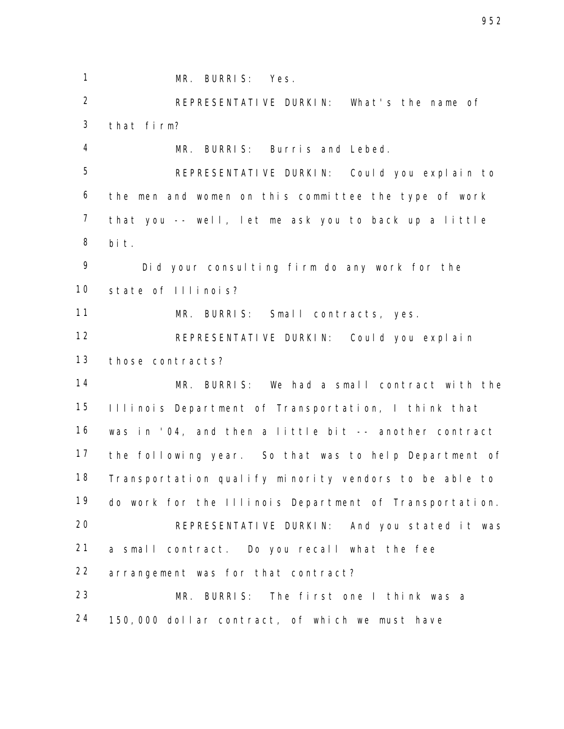MR. BURRIS: Yes. REPRESENTATIVE DURKIN: What's the name of that firm? MR. BURRIS: Burris and Lebed. REPRESENTATIVE DURKIN: Could you explain to the men and women on this committee the type of work that you -- well, let me ask you to back up a little bit. Did your consulting firm do any work for the state of Illinois? MR. BURRIS: Small contracts, yes. REPRESENTATIVE DURKIN: Could you explain those contracts? MR. BURRIS: We had a small contract with the Illinois Department of Transportation, I think that was in '04, and then a little bit -- another contract the following year. So that was to help Department of Transportation qualify minority vendors to be able to do work for the Illinois Department of Transportation. REPRESENTATIVE DURKIN: And you stated it was a small contract. Do you recall what the fee arrangement was for that contract? MR. BURRIS: The first one I think was a 150,000 dollar contract, of which we must have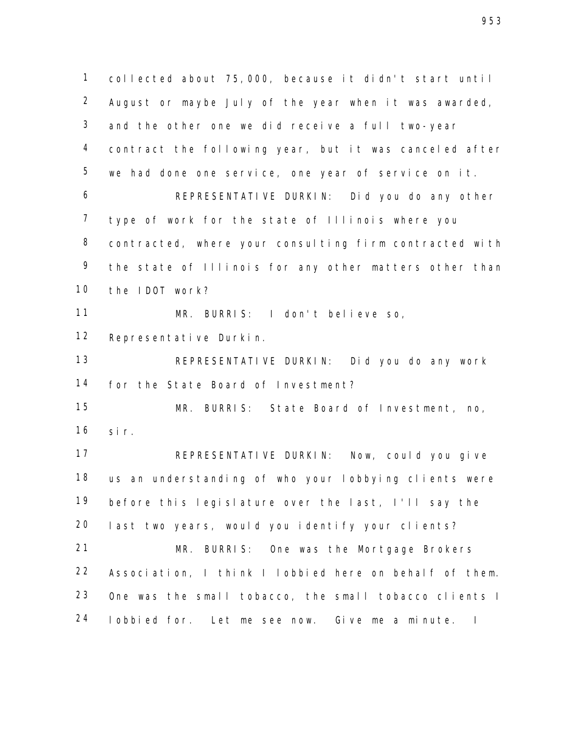collected about 75,000, because it didn't start until August or maybe July of the year when it was awarded, and the other one we did receive a full two-year contract the following year, but it was canceled after we had done one service, one year of service on it. REPRESENTATIVE DURKIN: Did you do any other type of work for the state of Illinois where you contracted, where your consulting firm contracted with 9 the state of Illinois for any other matters other than the IDOT work? MR. BURRIS: I don't believe so, Representative Durkin. REPRESENTATIVE DURKIN: Did you do any work for the State Board of Investment? MR. BURRIS: State Board of Investment, no, sir. REPRESENTATIVE DURKIN: Now, could you give us an understanding of who your lobbying clients were before this legislature over the last, I'll say the last two years, would you identify your clients? MR. BURRIS: One was the Mortgage Brokers Association, I think I lobbied here on behalf of them. One was the small tobacco, the small tobacco clients I lobbied for. Let me see now. Give me a minute. I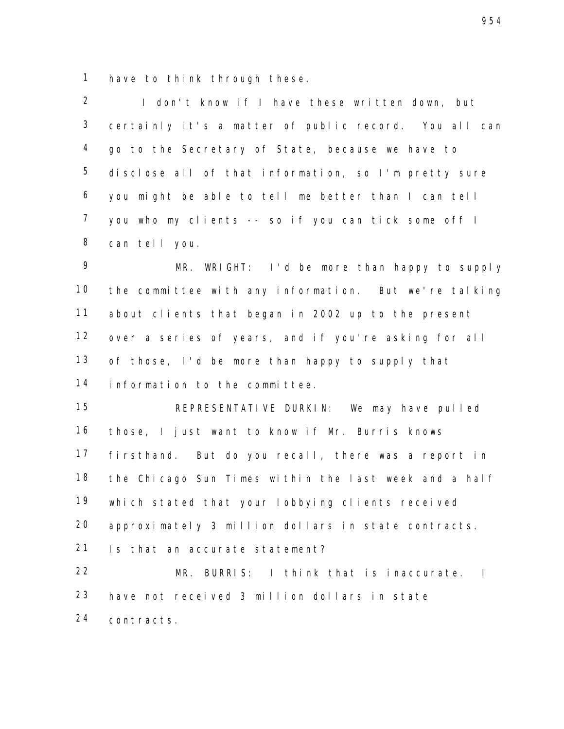have to think through these.

 I don't know if I have these written down, but certainly it's a matter of public record. You all can go to the Secretary of State, because we have to disclose all of that information, so I'm pretty sure you might be able to tell me better than I can tell you who my clients -- so if you can tick some off I can tell you.

 MR. WRIGHT: I'd be more than happy to supply the committee with any information. But we're talking about clients that began in 2002 up to the present over a series of years, and if you're asking for all 13 of those, I'd be more than happy to supply that information to the committee.

 REPRESENTATIVE DURKIN: We may have pulled those, I just want to know if Mr. Burris knows firsthand. But do you recall, there was a report in the Chicago Sun Times within the last week and a half which stated that your lobbying clients received approximately 3 million dollars in state contracts. Is that an accurate statement?

 MR. BURRIS: I think that is inaccurate. I have not received 3 million dollars in state contracts.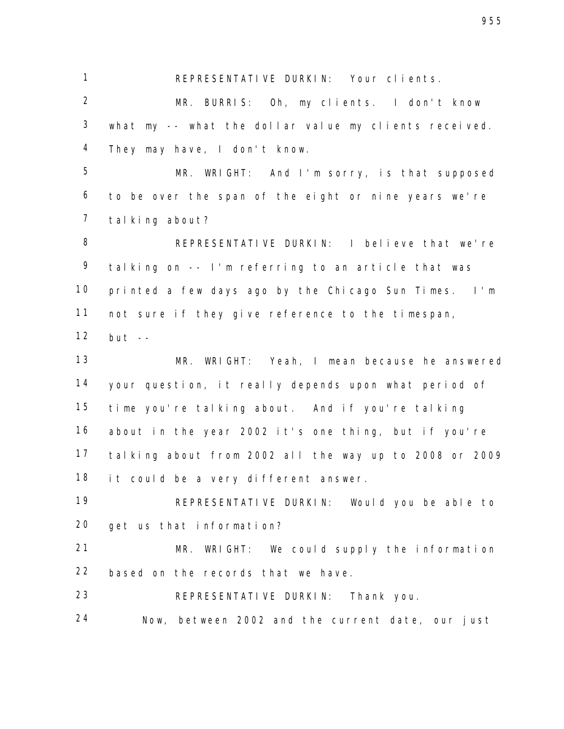REPRESENTATIVE DURKIN: Your clients.

 MR. BURRIS: Oh, my clients. I don't know what my -- what the dollar value my clients received. They may have, I don't know.

 MR. WRIGHT: And I'm sorry, is that supposed to be over the span of the eight or nine years we're talking about?

 REPRESENTATIVE DURKIN: I believe that we're talking on -- I'm referring to an article that was printed a few days ago by the Chicago Sun Times. I'm not sure if they give reference to the timespan, but --

 MR. WRIGHT: Yeah, I mean because he answered your question, it really depends upon what period of time you're talking about. And if you're talking about in the year 2002 it's one thing, but if you're talking about from 2002 all the way up to 2008 or 2009 18 it could be a very different answer.

 REPRESENTATIVE DURKIN: Would you be able to get us that information?

 MR. WRIGHT: We could supply the information based on the records that we have.

REPRESENTATIVE DURKIN: Thank you.

Now, between 2002 and the current date, our just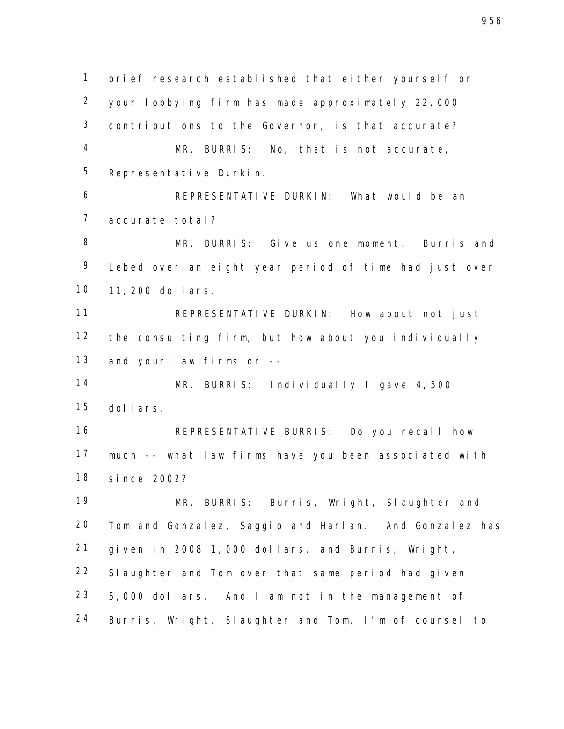brief research established that either yourself or your lobbying firm has made approximately 22,000 contributions to the Governor, is that accurate? MR. BURRIS: No, that is not accurate, Representative Durkin. REPRESENTATIVE DURKIN: What would be an accurate total? MR. BURRIS: Give us one moment. Burris and Lebed over an eight year period of time had just over 11,200 dollars. REPRESENTATIVE DURKIN: How about not just the consulting firm, but how about you individually and your law firms or -- MR. BURRIS: Individually I gave 4,500 dollars. REPRESENTATIVE BURRIS: Do you recall how much -- what law firms have you been associated with since 2002? MR. BURRIS: Burris, Wright, Slaughter and Tom and Gonzalez, Saggio and Harlan. And Gonzalez has given in 2008 1,000 dollars, and Burris, Wright, Slaughter and Tom over that same period had given 5,000 dollars. And I am not in the management of Burris, Wright, Slaughter and Tom, I'm of counsel to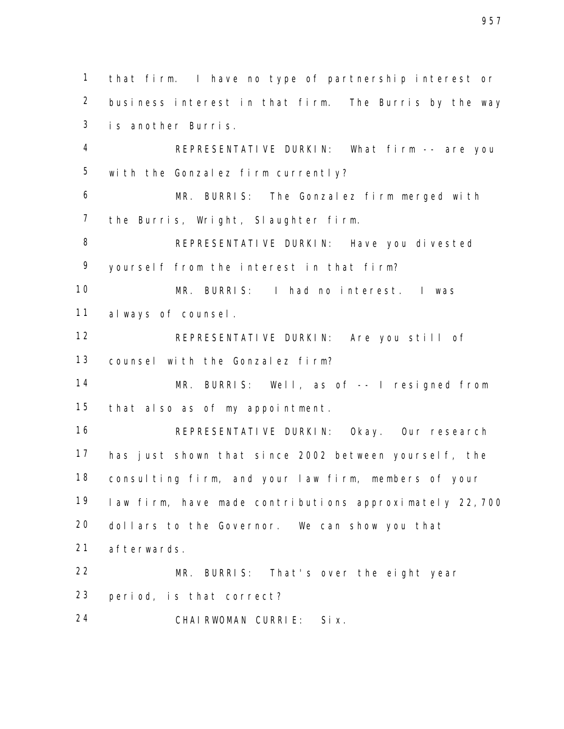that firm. I have no type of partnership interest or business interest in that firm. The Burris by the way is another Burris.

 REPRESENTATIVE DURKIN: What firm -- are you with the Gonzalez firm currently?

 MR. BURRIS: The Gonzalez firm merged with the Burris, Wright, Slaughter firm.

 REPRESENTATIVE DURKIN: Have you divested yourself from the interest in that firm?

 MR. BURRIS: I had no interest. I was always of counsel.

 REPRESENTATIVE DURKIN: Are you still of counsel with the Gonzalez firm?

 MR. BURRIS: Well, as of -- I resigned from that also as of my appointment.

 REPRESENTATIVE DURKIN: Okay. Our research has just shown that since 2002 between yourself, the consulting firm, and your law firm, members of your law firm, have made contributions approximately 22,700 dollars to the Governor. We can show you that afterwards.

 MR. BURRIS: That's over the eight year period, is that correct?

CHAIRWOMAN CURRIE: Six.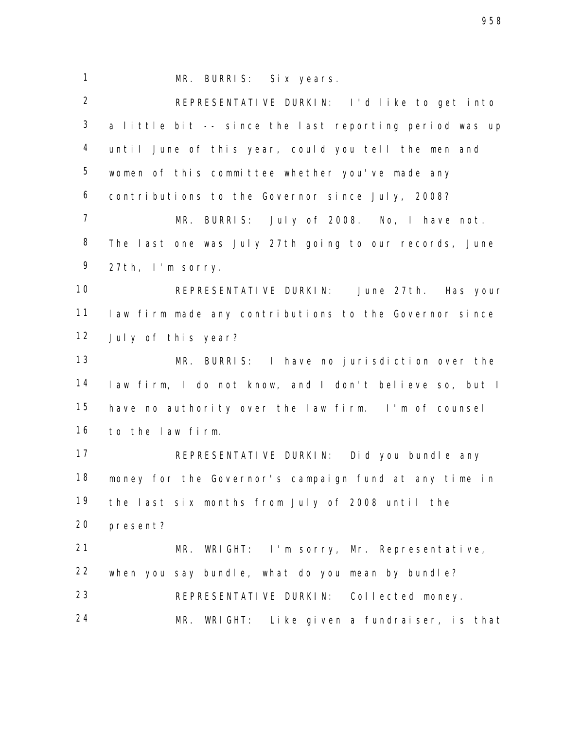MR. BURRIS: Six years. REPRESENTATIVE DURKIN: I'd like to get into a little bit -- since the last reporting period was up until June of this year, could you tell the men and women of this committee whether you've made any contributions to the Governor since July, 2008? MR. BURRIS: July of 2008. No, I have not. The last one was July 27th going to our records, June 27th, I'm sorry. REPRESENTATIVE DURKIN: June 27th. Has your law firm made any contributions to the Governor since July of this year? MR. BURRIS: I have no jurisdiction over the law firm, I do not know, and I don't believe so, but I have no authority over the law firm. I'm of counsel to the law firm. REPRESENTATIVE DURKIN: Did you bundle any money for the Governor's campaign fund at any time in the last six months from July of 2008 until the present? MR. WRIGHT: I'm sorry, Mr. Representative, when you say bundle, what do you mean by bundle? REPRESENTATIVE DURKIN: Collected money. MR. WRIGHT: Like given a fundraiser, is that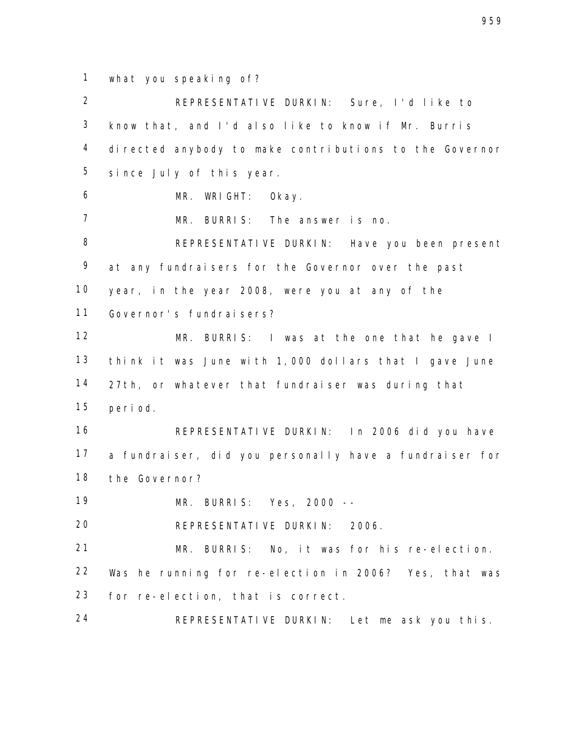what you speaking of?

 REPRESENTATIVE DURKIN: Sure, I'd like to know that, and I'd also like to know if Mr. Burris directed anybody to make contributions to the Governor since July of this year. MR. WRIGHT: Okay. MR. BURRIS: The answer is no. REPRESENTATIVE DURKIN: Have you been present at any fundraisers for the Governor over the past year, in the year 2008, were you at any of the Governor's fundraisers? MR. BURRIS: I was at the one that he gave I think it was June with 1,000 dollars that I gave June 27th, or whatever that fundraiser was during that period. REPRESENTATIVE DURKIN: In 2006 did you have a fundraiser, did you personally have a fundraiser for the Governor? MR. BURRIS: Yes, 2000 -- REPRESENTATIVE DURKIN: 2006. 21 MR. BURRIS: No, it was for his re-election. Was he running for re-election in 2006? Yes, that was for re-election, that is correct. REPRESENTATIVE DURKIN: Let me ask you this.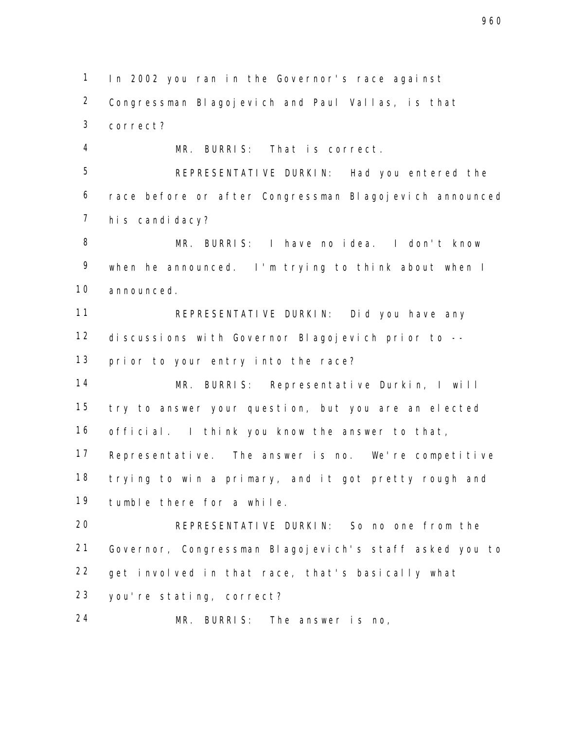In 2002 you ran in the Governor's race against Congressman Blagojevich and Paul Vallas, is that correct?

 MR. BURRIS: That is correct. REPRESENTATIVE DURKIN: Had you entered the race before or after Congressman Blagojevich announced his candidacy?

 MR. BURRIS: I have no idea. I don't know when he announced. I'm trying to think about when I announced.

 REPRESENTATIVE DURKIN: Did you have any discussions with Governor Blagojevich prior to -- prior to your entry into the race?

 MR. BURRIS: Representative Durkin, I will try to answer your question, but you are an elected official. I think you know the answer to that, Representative. The answer is no. We're competitive trying to win a primary, and it got pretty rough and tumble there for a while.

 REPRESENTATIVE DURKIN: So no one from the Governor, Congressman Blagojevich's staff asked you to get involved in that race, that's basically what you're stating, correct?

MR. BURRIS: The answer is no,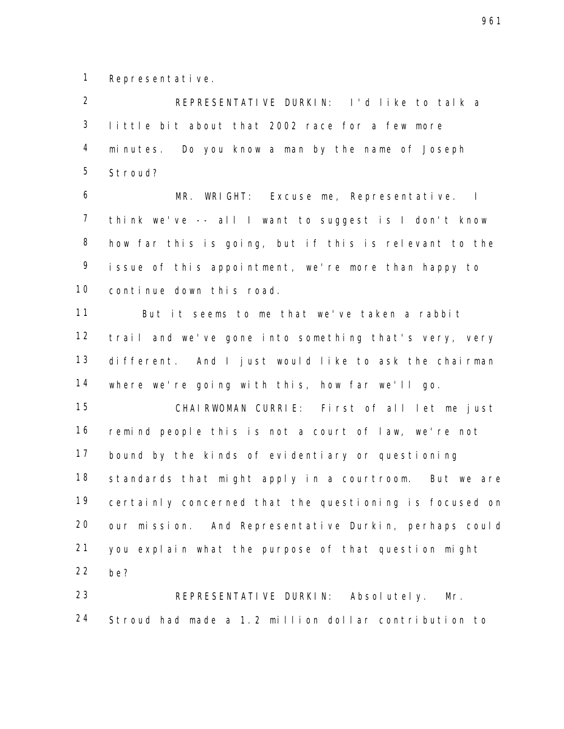Representative.

 REPRESENTATIVE DURKIN: I'd like to talk a little bit about that 2002 race for a few more minutes. Do you know a man by the name of Joseph Stroud?

 MR. WRIGHT: Excuse me, Representative. I think we've -- all I want to suggest is I don't know how far this is going, but if this is relevant to the issue of this appointment, we're more than happy to continue down this road.

 But it seems to me that we've taken a rabbit trail and we've gone into something that's very, very different. And I just would like to ask the chairman where we're going with this, how far we'll go.

 CHAIRWOMAN CURRIE: First of all let me just remind people this is not a court of law, we're not bound by the kinds of evidentiary or questioning standards that might apply in a courtroom. But we are certainly concerned that the questioning is focused on our mission. And Representative Durkin, perhaps could you explain what the purpose of that question might be?

 REPRESENTATIVE DURKIN: Absolutely. Mr. Stroud had made a 1.2 million dollar contribution to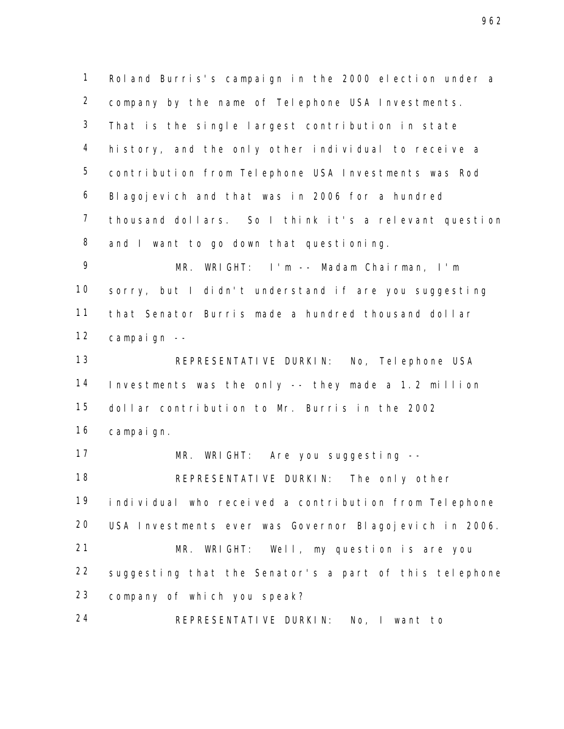Roland Burris's campaign in the 2000 election under a company by the name of Telephone USA Investments. That is the single largest contribution in state history, and the only other individual to receive a contribution from Telephone USA Investments was Rod Blagojevich and that was in 2006 for a hundred thousand dollars. So I think it's a relevant question 8 and I want to go down that questioning.

 MR. WRIGHT: I'm -- Madam Chairman, I'm sorry, but I didn't understand if are you suggesting that Senator Burris made a hundred thousand dollar campaign --

 REPRESENTATIVE DURKIN: No, Telephone USA Investments was the only -- they made a 1.2 million dollar contribution to Mr. Burris in the 2002 campaign.

 MR. WRIGHT: Are you suggesting -- REPRESENTATIVE DURKIN: The only other individual who received a contribution from Telephone USA Investments ever was Governor Blagojevich in 2006. MR. WRIGHT: Well, my question is are you suggesting that the Senator's a part of this telephone company of which you speak?

REPRESENTATIVE DURKIN: No, I want to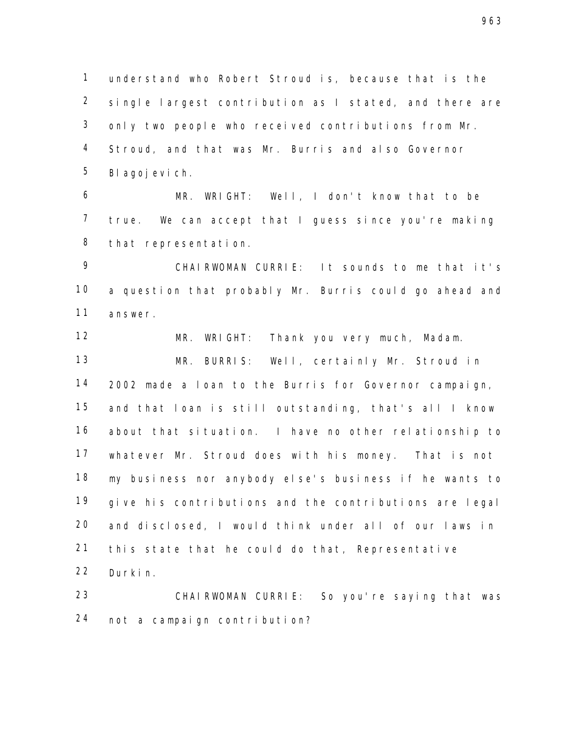understand who Robert Stroud is, because that is the single largest contribution as I stated, and there are only two people who received contributions from Mr. Stroud, and that was Mr. Burris and also Governor Blagojevich.

 MR. WRIGHT: Well, I don't know that to be true. We can accept that I guess since you're making that representation.

 CHAIRWOMAN CURRIE: It sounds to me that it's a question that probably Mr. Burris could go ahead and answer.

 MR. WRIGHT: Thank you very much, Madam. MR. BURRIS: Well, certainly Mr. Stroud in 2002 made a loan to the Burris for Governor campaign, and that loan is still outstanding, that's all I know about that situation. I have no other relationship to whatever Mr. Stroud does with his money. That is not my business nor anybody else's business if he wants to give his contributions and the contributions are legal and disclosed, I would think under all of our laws in this state that he could do that, Representative Durkin.

 CHAIRWOMAN CURRIE: So you're saying that was not a campaign contribution?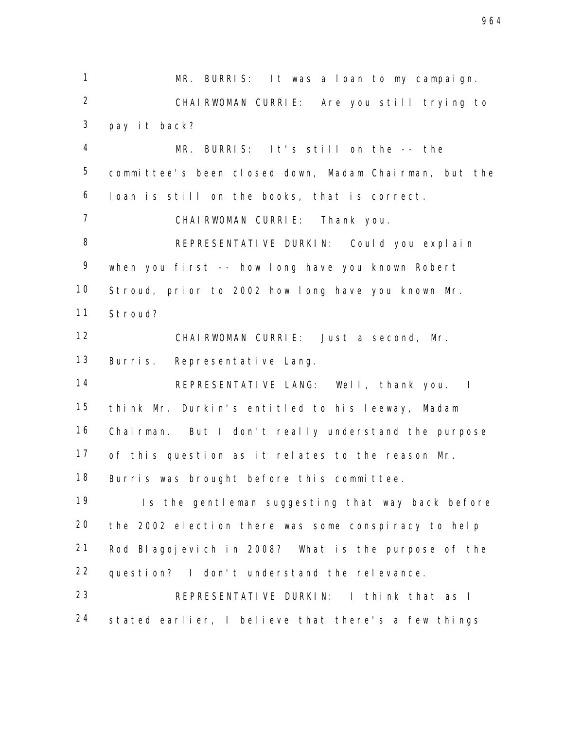MR. BURRIS: It was a loan to my campaign. CHAIRWOMAN CURRIE: Are you still trying to pay it back? MR. BURRIS: It's still on the -- the committee's been closed down, Madam Chairman, but the loan is still on the books, that is correct. CHAIRWOMAN CURRIE: Thank you. REPRESENTATIVE DURKIN: Could you explain when you first -- how long have you known Robert Stroud, prior to 2002 how long have you known Mr. Stroud? CHAIRWOMAN CURRIE: Just a second, Mr. Burris. Representative Lang. REPRESENTATIVE LANG: Well, thank you. I think Mr. Durkin's entitled to his leeway, Madam Chairman. But I don't really understand the purpose of this question as it relates to the reason Mr. Burris was brought before this committee. 19 Is the gentleman suggesting that way back before the 2002 election there was some conspiracy to help Rod Blagojevich in 2008? What is the purpose of the question? I don't understand the relevance. REPRESENTATIVE DURKIN: I think that as I stated earlier, I believe that there's a few things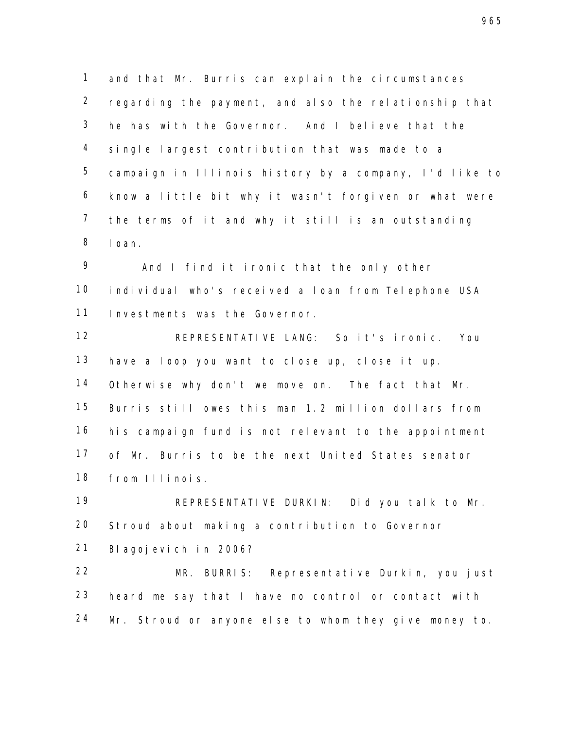and that Mr. Burris can explain the circumstances regarding the payment, and also the relationship that he has with the Governor. And I believe that the single largest contribution that was made to a campaign in Illinois history by a company, I'd like to know a little bit why it wasn't forgiven or what were the terms of it and why it still is an outstanding loan.

 And I find it ironic that the only other individual who's received a loan from Telephone USA Investments was the Governor.

 REPRESENTATIVE LANG: So it's ironic. You have a loop you want to close up, close it up. Otherwise why don't we move on. The fact that Mr. Burris still owes this man 1.2 million dollars from his campaign fund is not relevant to the appointment of Mr. Burris to be the next United States senator from Illinois.

 REPRESENTATIVE DURKIN: Did you talk to Mr. Stroud about making a contribution to Governor Blagojevich in 2006?

 MR. BURRIS: Representative Durkin, you just heard me say that I have no control or contact with Mr. Stroud or anyone else to whom they give money to.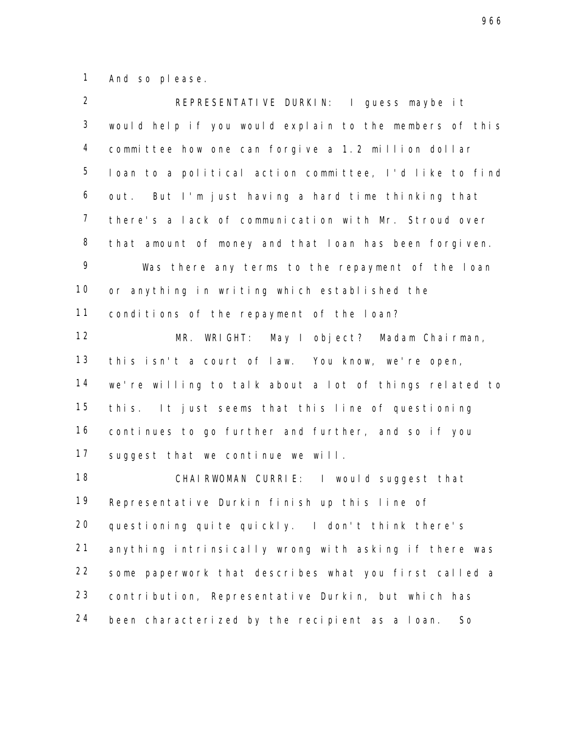And so please.

| $\overline{2}$ | REPRESENTATIVE DURKIN: I guess maybe it                |
|----------------|--------------------------------------------------------|
| $\mathbf{3}$   | would help if you would explain to the members of this |
| $\overline{4}$ | committee how one can forgive a 1.2 million dollar     |
| 5              | loan to a political action committee, I'd like to find |
| 6              | out. But I'm just having a hard time thinking that     |
| $\overline{7}$ | there's a lack of communication with Mr. Stroud over   |
| 8              | that amount of money and that loan has been forgiven.  |
| 9              | Was there any terms to the repayment of the loan       |
| 10             | or anything in writing which established the           |
| 11             | conditions of the repayment of the loan?               |
| 12             | MR. WRIGHT: May I object? Madam Chairman,              |
| 13             | this isn't a court of law. You know, we're open,       |
| 14             | we're willing to talk about a lot of things related to |
| 15             | this. It just seems that this line of questioning      |
| 16             | continues to go further and further, and so if you     |
| 17             | suggest that we continue we will.                      |
| 18             | CHAIRWOMAN CURRIE: I would suggest that                |
| 19             | Representative Durkin finish up this line of           |
| 20             | questioning quite quickly. I don't think there's       |
| 21             | anything intrinsically wrong with asking if there was  |
| 22             | some paperwork that describes what you first called a  |
| 23             | contribution, Representative Durkin, but which has     |
| 24             | been characterized by the recipient as a loan.<br>So   |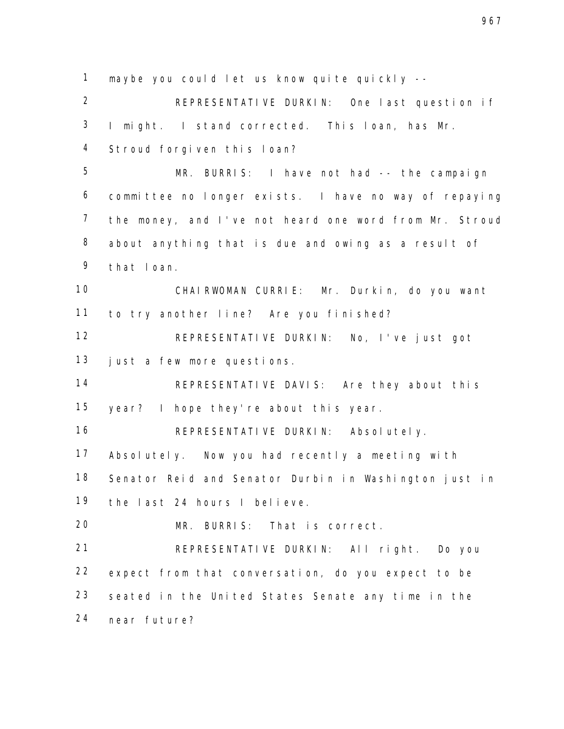maybe you could let us know quite quickly -- REPRESENTATIVE DURKIN: One last question if I might. I stand corrected. This loan, has Mr. Stroud forgiven this loan? MR. BURRIS: I have not had -- the campaign committee no longer exists. I have no way of repaying the money, and I've not heard one word from Mr. Stroud about anything that is due and owing as a result of that loan. CHAIRWOMAN CURRIE: Mr. Durkin, do you want to try another line? Are you finished? REPRESENTATIVE DURKIN: No, I've just got just a few more questions. REPRESENTATIVE DAVIS: Are they about this year? I hope they're about this year. REPRESENTATIVE DURKIN: Absolutely. Absolutely. Now you had recently a meeting with Senator Reid and Senator Durbin in Washington just in the last 24 hours I believe. MR. BURRIS: That is correct. REPRESENTATIVE DURKIN: All right. Do you expect from that conversation, do you expect to be seated in the United States Senate any time in the near future?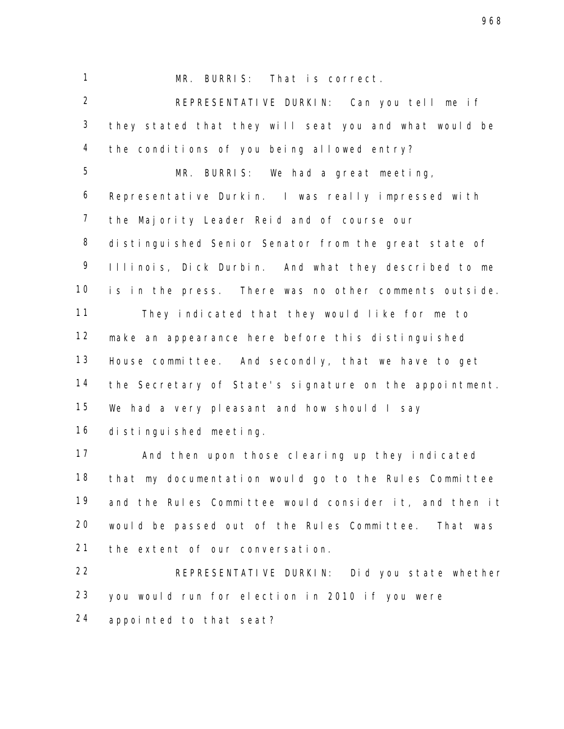MR. BURRIS: That is correct.

 REPRESENTATIVE DURKIN: Can you tell me if they stated that they will seat you and what would be the conditions of you being allowed entry?

 MR. BURRIS: We had a great meeting, Representative Durkin. I was really impressed with the Majority Leader Reid and of course our 8 distinguished Senior Senator from the great state of Illinois, Dick Durbin. And what they described to me is in the press. There was no other comments outside. They indicated that they would like for me to make an appearance here before this distinguished House committee. And secondly, that we have to get the Secretary of State's signature on the appointment. We had a very pleasant and how should I say distinguished meeting.

 And then upon those clearing up they indicated that my documentation would go to the Rules Committee and the Rules Committee would consider it, and then it would be passed out of the Rules Committee. That was the extent of our conversation.

 REPRESENTATIVE DURKIN: Did you state whether you would run for election in 2010 if you were appointed to that seat?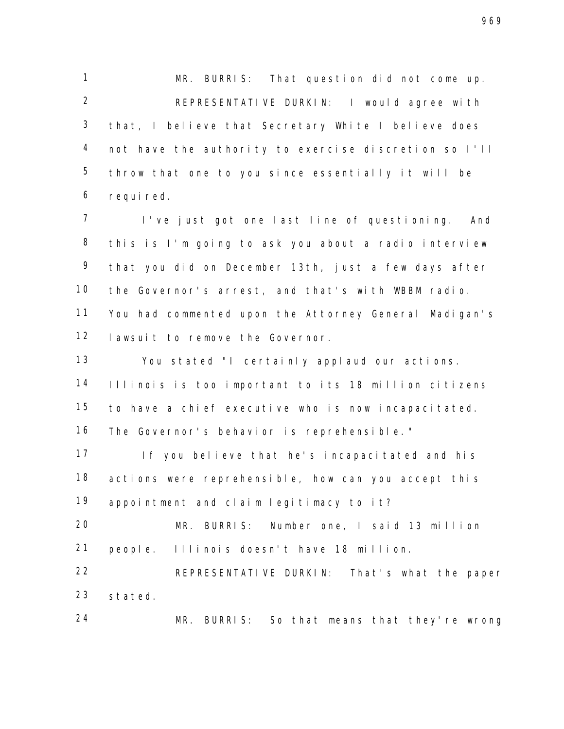MR. BURRIS: That question did not come up. 2 REPRESENTATIVE DURKIN: I would agree with that, I believe that Secretary White I believe does not have the authority to exercise discretion so I'll throw that one to you since essentially it will be required.

 I've just got one last line of questioning. And this is I'm going to ask you about a radio interview that you did on December 13th, just a few days after the Governor's arrest, and that's with WBBM radio. You had commented upon the Attorney General Madigan's lawsuit to remove the Governor.

 You stated "I certainly applaud our actions. Illinois is too important to its 18 million citizens to have a chief executive who is now incapacitated. The Governor's behavior is reprehensible."

 If you believe that he's incapacitated and his actions were reprehensible, how can you accept this appointment and claim legitimacy to it?

 MR. BURRIS: Number one, I said 13 million people. Illinois doesn't have 18 million.

22 REPRESENTATIVE DURKIN: That's what the paper stated.

MR. BURRIS: So that means that they're wrong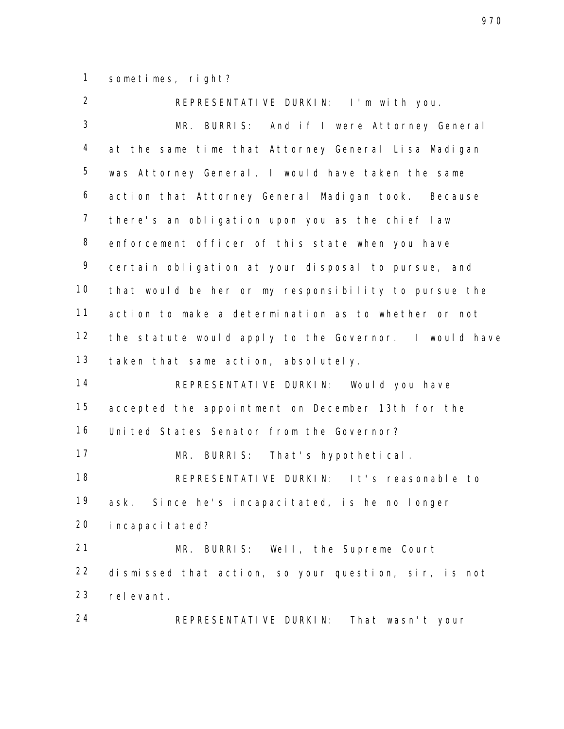sometimes, right?

 REPRESENTATIVE DURKIN: I'm with you. MR. BURRIS: And if I were Attorney General at the same time that Attorney General Lisa Madigan was Attorney General, I would have taken the same action that Attorney General Madigan took. Because there's an obligation upon you as the chief law enforcement officer of this state when you have certain obligation at your disposal to pursue, and that would be her or my responsibility to pursue the action to make a determination as to whether or not the statute would apply to the Governor. I would have taken that same action, absolutely. REPRESENTATIVE DURKIN: Would you have accepted the appointment on December 13th for the United States Senator from the Governor? MR. BURRIS: That's hypothetical. REPRESENTATIVE DURKIN: It's reasonable to ask. Since he's incapacitated, is he no longer incapacitated? MR. BURRIS: Well, the Supreme Court dismissed that action, so your question, sir, is not relevant. REPRESENTATIVE DURKIN: That wasn't your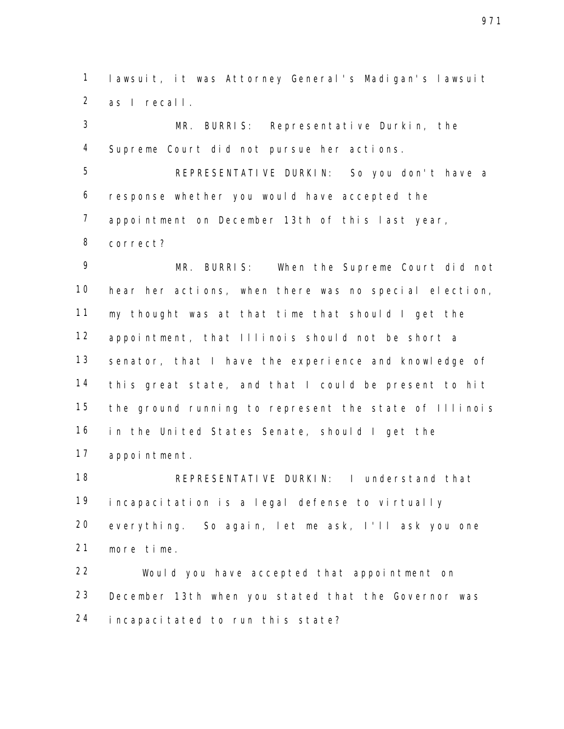lawsuit, it was Attorney General's Madigan's lawsuit as I recall.

 MR. BURRIS: Representative Durkin, the Supreme Court did not pursue her actions.

 REPRESENTATIVE DURKIN: So you don't have a response whether you would have accepted the appointment on December 13th of this last year, correct?

 MR. BURRIS: When the Supreme Court did not hear her actions, when there was no special election, my thought was at that time that should I get the appointment, that Illinois should not be short a senator, that I have the experience and knowledge of this great state, and that I could be present to hit the ground running to represent the state of Illinois in the United States Senate, should I get the appointment.

 REPRESENTATIVE DURKIN: I understand that incapacitation is a legal defense to virtually everything. So again, let me ask, I'll ask you one more time.

 Would you have accepted that appointment on December 13th when you stated that the Governor was incapacitated to run this state?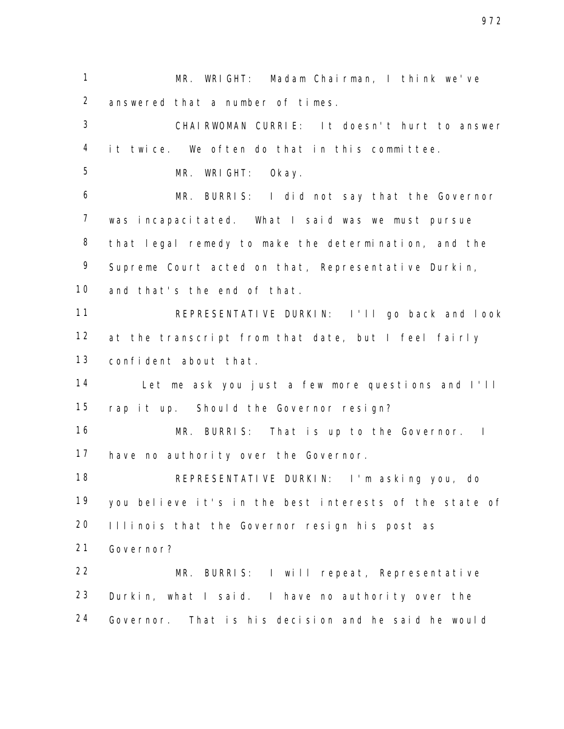MR. WRIGHT: Madam Chairman, I think we've answered that a number of times.

 CHAIRWOMAN CURRIE: It doesn't hurt to answer it twice. We often do that in this committee.

MR. WRIGHT: Okay.

 MR. BURRIS: I did not say that the Governor was incapacitated. What I said was we must pursue that legal remedy to make the determination, and the Supreme Court acted on that, Representative Durkin, and that's the end of that.

 REPRESENTATIVE DURKIN: I'll go back and look 12 at the transcript from that date, but I feel fairly confident about that.

 Let me ask you just a few more questions and I'll rap it up. Should the Governor resign?

16 MR. BURRIS: That is up to the Governor. I have no authority over the Governor.

 REPRESENTATIVE DURKIN: I'm asking you, do you believe it's in the best interests of the state of Illinois that the Governor resign his post as Governor?

 MR. BURRIS: I will repeat, Representative Durkin, what I said. I have no authority over the Governor. That is his decision and he said he would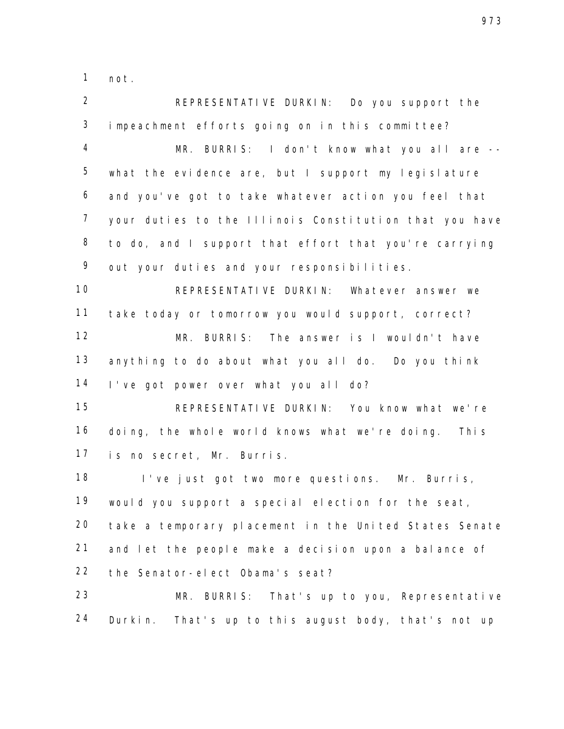not.

 REPRESENTATIVE DURKIN: Do you support the impeachment efforts going on in this committee? MR. BURRIS: I don't know what you all are -- what the evidence are, but I support my legislature and you've got to take whatever action you feel that your duties to the Illinois Constitution that you have 8 to do, and I support that effort that you're carrying 9 out your duties and your responsibilities. REPRESENTATIVE DURKIN: Whatever answer we take today or tomorrow you would support, correct? MR. BURRIS: The answer is I wouldn't have anything to do about what you all do. Do you think I've got power over what you all do? REPRESENTATIVE DURKIN: You know what we're doing, the whole world knows what we're doing. This is no secret, Mr. Burris. I've just got two more questions. Mr. Burris, would you support a special election for the seat, take a temporary placement in the United States Senate and let the people make a decision upon a balance of the Senator-elect Obama's seat? MR. BURRIS: That's up to you, Representative Durkin. That's up to this august body, that's not up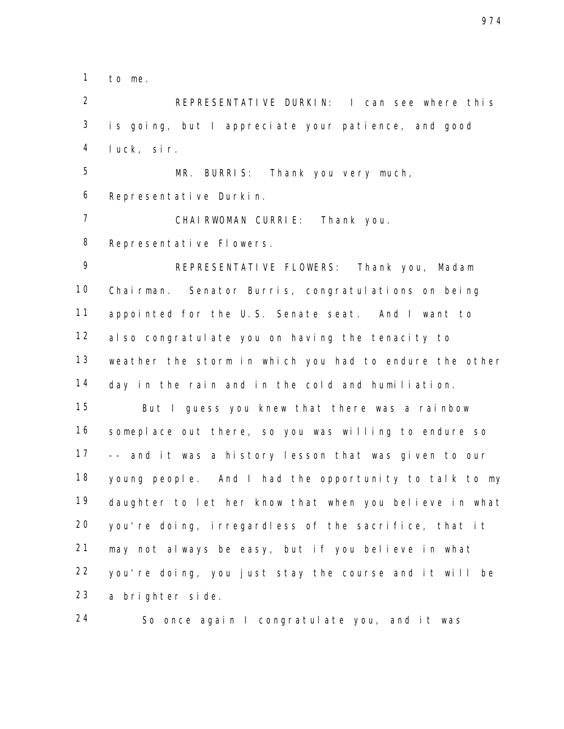to me.

 REPRESENTATIVE DURKIN: I can see where this is going, but I appreciate your patience, and good luck, sir.

 MR. BURRIS: Thank you very much, Representative Durkin.

CHAIRWOMAN CURRIE: Thank you.

Representative Flowers.

 REPRESENTATIVE FLOWERS: Thank you, Madam Chairman. Senator Burris, congratulations on being appointed for the U.S. Senate seat. And I want to also congratulate you on having the tenacity to weather the storm in which you had to endure the other day in the rain and in the cold and humiliation. But I guess you knew that there was a rainbow someplace out there, so you was willing to endure so -- and it was a history lesson that was given to our young people. And I had the opportunity to talk to my daughter to let her know that when you believe in what you're doing, irregardless of the sacrifice, that it may not always be easy, but if you believe in what you're doing, you just stay the course and it will be a brighter side.

So once again I congratulate you, and it was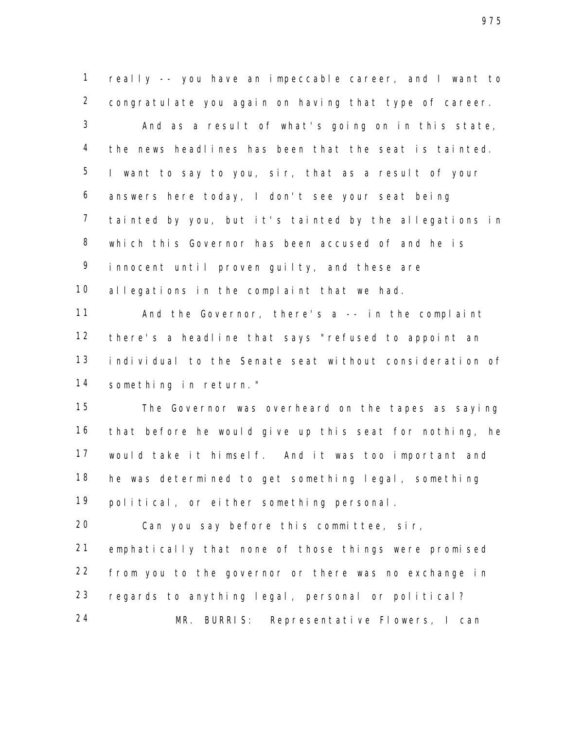really -- you have an impeccable career, and I want to congratulate you again on having that type of career.

 And as a result of what's going on in this state, the news headlines has been that the seat is tainted. I want to say to you, sir, that as a result of your answers here today, I don't see your seat being tainted by you, but it's tainted by the allegations in which this Governor has been accused of and he is innocent until proven guilty, and these are 10 allegations in the complaint that we had.

 And the Governor, there's a -- in the complaint there's a headline that says "refused to appoint an individual to the Senate seat without consideration of something in return."

 The Governor was overheard on the tapes as saying that before he would give up this seat for nothing, he would take it himself. And it was too important and he was determined to get something legal, something political, or either something personal.

 Can you say before this committee, sir, emphatically that none of those things were promised from you to the governor or there was no exchange in regards to anything legal, personal or political? MR. BURRIS: Representative Flowers, I can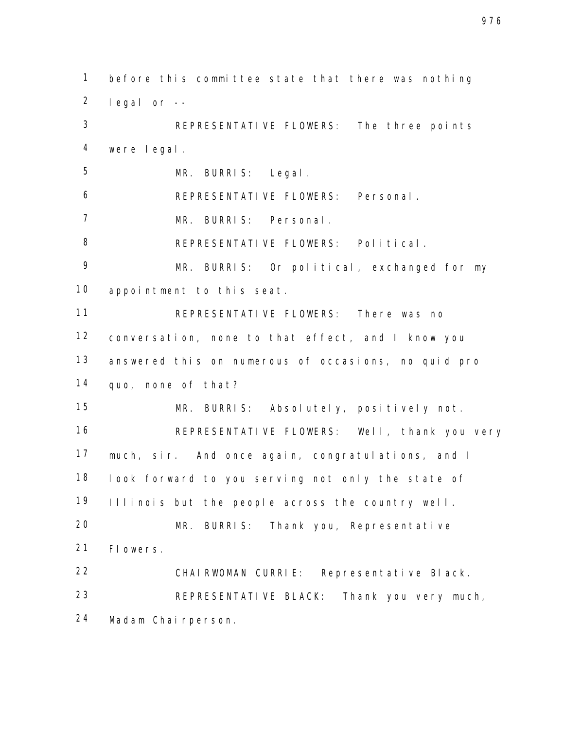before this committee state that there was nothing legal or -- REPRESENTATIVE FLOWERS: The three points were legal. MR. BURRIS: Legal. REPRESENTATIVE FLOWERS: Personal. MR. BURRIS: Personal. 8 REPRESENTATIVE FLOWERS: Political. MR. BURRIS: Or political, exchanged for my appointment to this seat. REPRESENTATIVE FLOWERS: There was no conversation, none to that effect, and I know you answered this on numerous of occasions, no quid pro quo, none of that? MR. BURRIS: Absolutely, positively not. REPRESENTATIVE FLOWERS: Well, thank you very much, sir. And once again, congratulations, and I look forward to you serving not only the state of Illinois but the people across the country well. MR. BURRIS: Thank you, Representative Flowers. CHAIRWOMAN CURRIE: Representative Black. REPRESENTATIVE BLACK: Thank you very much, Madam Chairperson.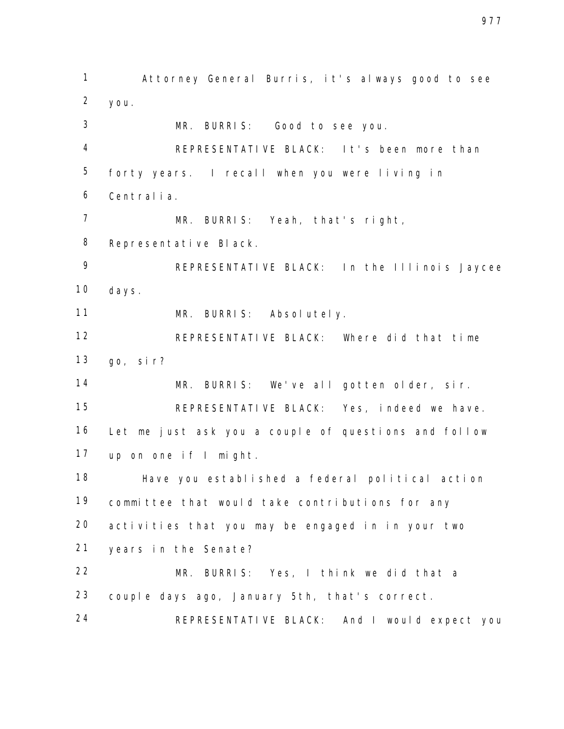Attorney General Burris, it's always good to see you. MR. BURRIS: Good to see you. REPRESENTATIVE BLACK: It's been more than forty years. I recall when you were living in Centralia. MR. BURRIS: Yeah, that's right, Representative Black. REPRESENTATIVE BLACK: In the Illinois Jaycee days. MR. BURRIS: Absolutely. REPRESENTATIVE BLACK: Where did that time go, sir? MR. BURRIS: We've all gotten older, sir. REPRESENTATIVE BLACK: Yes, indeed we have. Let me just ask you a couple of questions and follow up on one if I might. Have you established a federal political action committee that would take contributions for any activities that you may be engaged in in your two years in the Senate? MR. BURRIS: Yes, I think we did that a couple days ago, January 5th, that's correct. REPRESENTATIVE BLACK: And I would expect you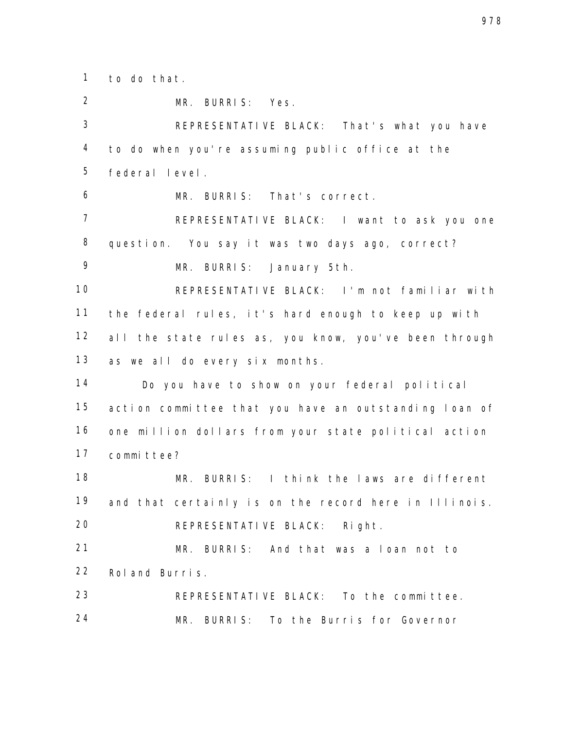to do that.

 MR. BURRIS: Yes. REPRESENTATIVE BLACK: That's what you have to do when you're assuming public office at the federal level. MR. BURRIS: That's correct. REPRESENTATIVE BLACK: I want to ask you one question. You say it was two days ago, correct? MR. BURRIS: January 5th. REPRESENTATIVE BLACK: I'm not familiar with the federal rules, it's hard enough to keep up with 12 all the state rules as, you know, you've been through as we all do every six months. Do you have to show on your federal political action committee that you have an outstanding loan of one million dollars from your state political action committee? MR. BURRIS: I think the laws are different 19 and that certainly is on the record here in Illinois. 20 REPRESENTATIVE BLACK: Right. MR. BURRIS: And that was a loan not to Roland Burris. REPRESENTATIVE BLACK: To the committee. MR. BURRIS: To the Burris for Governor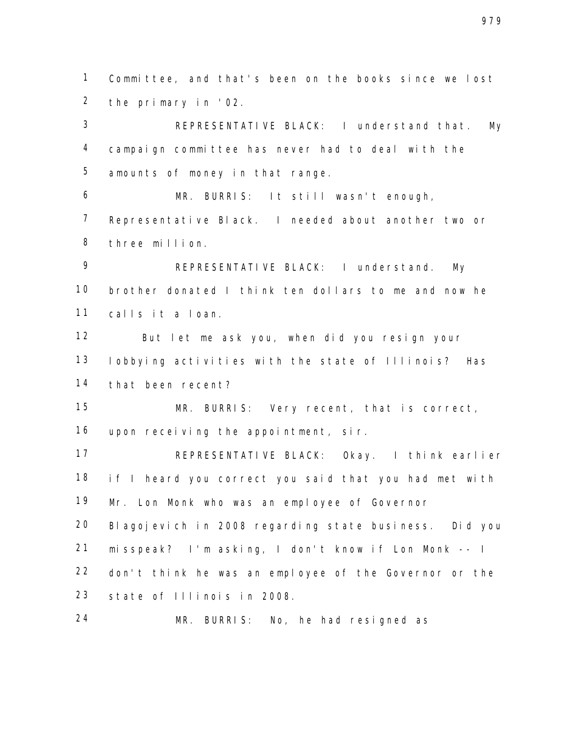Committee, and that's been on the books since we lost the primary in '02.

 REPRESENTATIVE BLACK: I understand that. My campaign committee has never had to deal with the amounts of money in that range.

 MR. BURRIS: It still wasn't enough, Representative Black. I needed about another two or three million.

 REPRESENTATIVE BLACK: I understand. My brother donated I think ten dollars to me and now he calls it a loan.

 But let me ask you, when did you resign your lobbying activities with the state of Illinois? Has that been recent?

 MR. BURRIS: Very recent, that is correct, upon receiving the appointment, sir.

 REPRESENTATIVE BLACK: Okay. I think earlier 18 if I heard you correct you said that you had met with Mr. Lon Monk who was an employee of Governor Blagojevich in 2008 regarding state business. Did you misspeak? I'm asking, I don't know if Lon Monk -- I don't think he was an employee of the Governor or the state of Illinois in 2008.

MR. BURRIS: No, he had resigned as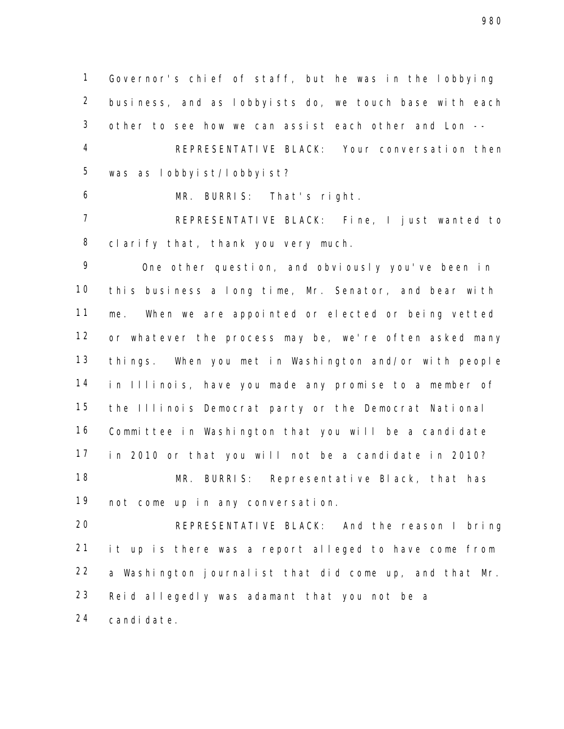Governor's chief of staff, but he was in the lobbying business, and as lobbyists do, we touch base with each other to see how we can assist each other and Lon -- REPRESENTATIVE BLACK: Your conversation then was as lobbyist/lobbyist?

MR. BURRIS: That's right.

 REPRESENTATIVE BLACK: Fine, I just wanted to 8 clarify that, thank you very much.

 One other question, and obviously you've been in this business a long time, Mr. Senator, and bear with me. When we are appointed or elected or being vetted or whatever the process may be, we're often asked many things. When you met in Washington and/or with people in Illinois, have you made any promise to a member of the Illinois Democrat party or the Democrat National Committee in Washington that you will be a candidate in 2010 or that you will not be a candidate in 2010? MR. BURRIS: Representative Black, that has not come up in any conversation.

 REPRESENTATIVE BLACK: And the reason I bring it up is there was a report alleged to have come from a Washington journalist that did come up, and that Mr. Reid allegedly was adamant that you not be a candidate.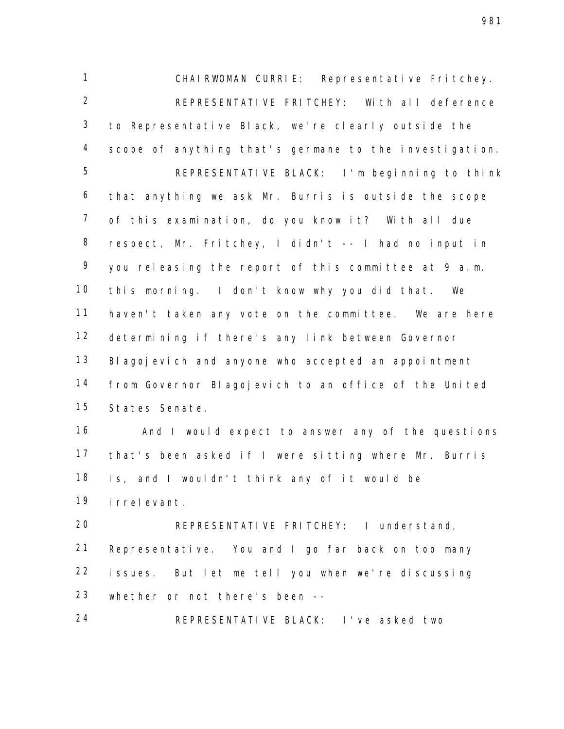CHAIRWOMAN CURRIE: Representative Fritchey. 2 REPRESENTATIVE FRITCHEY: With all deference to Representative Black, we're clearly outside the scope of anything that's germane to the investigation. REPRESENTATIVE BLACK: I'm beginning to think that anything we ask Mr. Burris is outside the scope of this examination, do you know it? With all due respect, Mr. Fritchey, I didn't -- I had no input in you releasing the report of this committee at 9 a.m. this morning. I don't know why you did that. We haven't taken any vote on the committee. We are here determining if there's any link between Governor Blagojevich and anyone who accepted an appointment from Governor Blagojevich to an office of the United States Senate.

 And I would expect to answer any of the questions that's been asked if I were sitting where Mr. Burris is, and I wouldn't think any of it would be irrelevant.

 REPRESENTATIVE FRITCHEY: I understand, Representative. You and I go far back on too many issues. But let me tell you when we're discussing whether or not there's been --

REPRESENTATIVE BLACK: I've asked two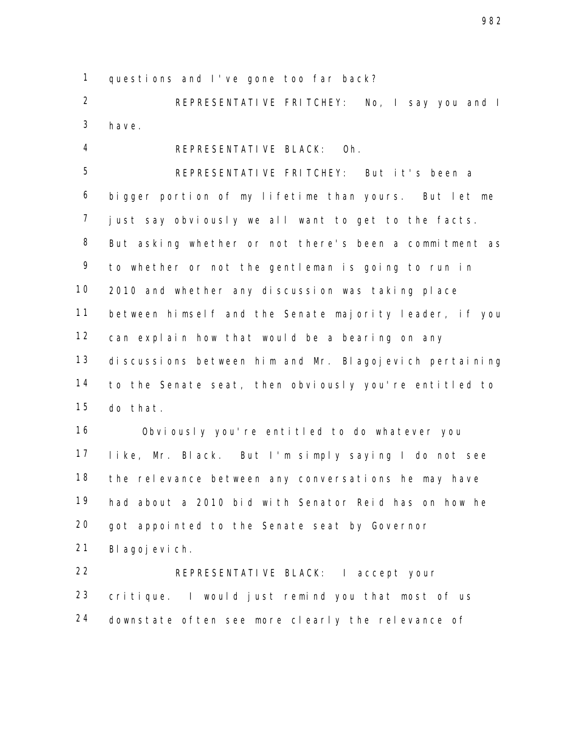questions and I've gone too far back?

 REPRESENTATIVE FRITCHEY: No, I say you and I have.

REPRESENTATIVE BLACK: Oh.

 REPRESENTATIVE FRITCHEY: But it's been a bigger portion of my lifetime than yours. But let me just say obviously we all want to get to the facts. But asking whether or not there's been a commitment as to whether or not the gentleman is going to run in 2010 and whether any discussion was taking place between himself and the Senate majority leader, if you can explain how that would be a bearing on any discussions between him and Mr. Blagojevich pertaining to the Senate seat, then obviously you're entitled to do that.

 Obviously you're entitled to do whatever you like, Mr. Black. But I'm simply saying I do not see the relevance between any conversations he may have had about a 2010 bid with Senator Reid has on how he got appointed to the Senate seat by Governor Blagojevich.

 REPRESENTATIVE BLACK: I accept your critique. I would just remind you that most of us downstate often see more clearly the relevance of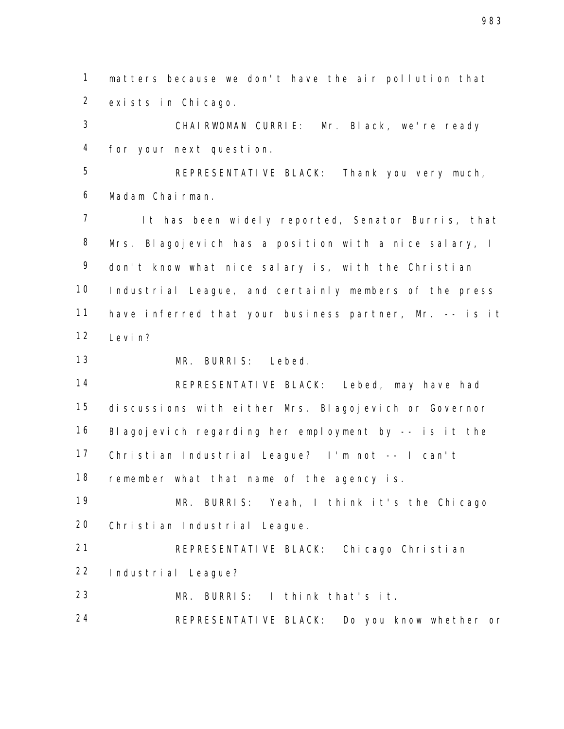matters because we don't have the air pollution that exists in Chicago.

 CHAIRWOMAN CURRIE: Mr. Black, we're ready for your next question.

 REPRESENTATIVE BLACK: Thank you very much, Madam Chairman.

 It has been widely reported, Senator Burris, that Mrs. Blagojevich has a position with a nice salary, I don't know what nice salary is, with the Christian Industrial League, and certainly members of the press have inferred that your business partner, Mr. -- is it 12 Levin?

MR. BURRIS: Lebed.

 REPRESENTATIVE BLACK: Lebed, may have had discussions with either Mrs. Blagojevich or Governor Blagojevich regarding her employment by -- is it the Christian Industrial League? I'm not -- I can't 18 remember what that name of the agency is.

 MR. BURRIS: Yeah, I think it's the Chicago Christian Industrial League.

 REPRESENTATIVE BLACK: Chicago Christian Industrial League?

MR. BURRIS: I think that's it.

24 REPRESENTATIVE BLACK: Do you know whether or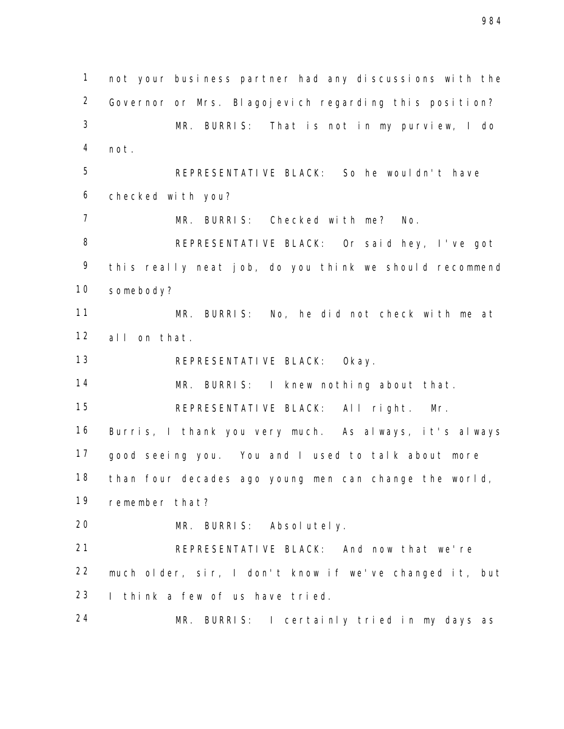not your business partner had any discussions with the Governor or Mrs. Blagojevich regarding this position? MR. BURRIS: That is not in my purview, I do not. REPRESENTATIVE BLACK: So he wouldn't have checked with you? MR. BURRIS: Checked with me? No. REPRESENTATIVE BLACK: Or said hey, I've got this really neat job, do you think we should recommend somebody? MR. BURRIS: No, he did not check with me at all on that. REPRESENTATIVE BLACK: Okay. MR. BURRIS: I knew nothing about that. REPRESENTATIVE BLACK: All right. Mr. Burris, I thank you very much. As always, it's always good seeing you. You and I used to talk about more than four decades ago young men can change the world, remember that? MR. BURRIS: Absolutely. REPRESENTATIVE BLACK: And now that we're much older, sir, I don't know if we've changed it, but I think a few of us have tried. MR. BURRIS: I certainly tried in my days as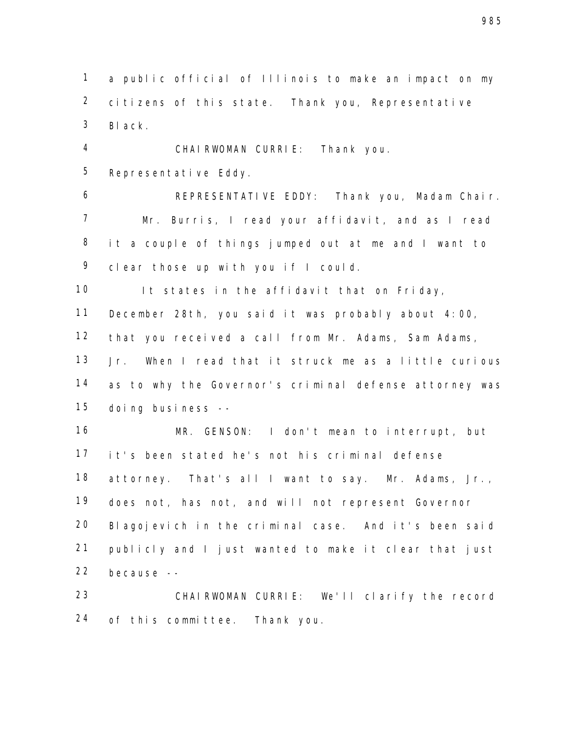a public official of Illinois to make an impact on my citizens of this state. Thank you, Representative Black.

 CHAIRWOMAN CURRIE: Thank you. Representative Eddy.

 REPRESENTATIVE EDDY: Thank you, Madam Chair. Mr. Burris, I read your affidavit, and as I read it a couple of things jumped out at me and I want to clear those up with you if I could.

10 It states in the affidavit that on Friday,

December 28th, you said it was probably about 4:00,

that you received a call from Mr. Adams, Sam Adams,

 Jr. When I read that it struck me as a little curious 14 as to why the Governor's criminal defense attorney was doing business --

 MR. GENSON: I don't mean to interrupt, but it's been stated he's not his criminal defense attorney. That's all I want to say. Mr. Adams, Jr., does not, has not, and will not represent Governor Blagojevich in the criminal case. And it's been said publicly and I just wanted to make it clear that just because --

 CHAIRWOMAN CURRIE: We'll clarify the record of this committee. Thank you.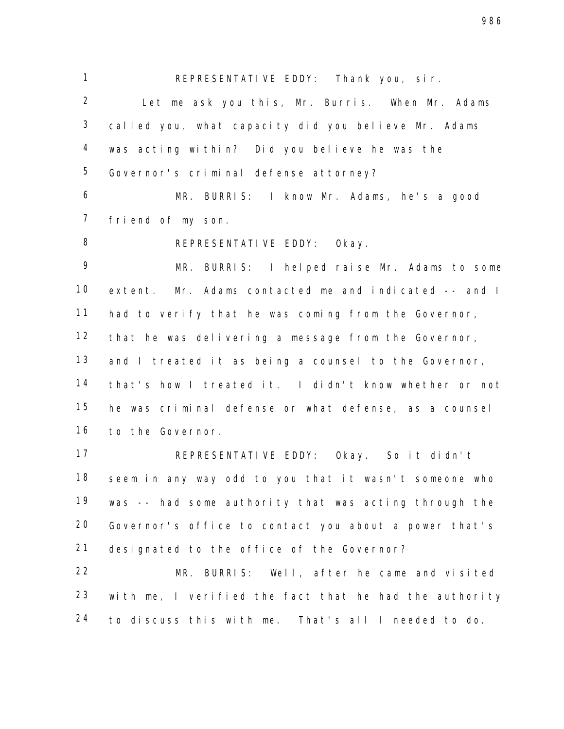REPRESENTATIVE EDDY: Thank you, sir.

 Let me ask you this, Mr. Burris. When Mr. Adams called you, what capacity did you believe Mr. Adams was acting within? Did you believe he was the Governor's criminal defense attorney?

 MR. BURRIS: I know Mr. Adams, he's a good friend of my son.

8 REPRESENTATIVE EDDY: Okay.

 MR. BURRIS: I helped raise Mr. Adams to some extent. Mr. Adams contacted me and indicated -- and I had to verify that he was coming from the Governor, that he was delivering a message from the Governor, 13 and I treated it as being a counsel to the Governor, that's how I treated it. I didn't know whether or not he was criminal defense or what defense, as a counsel to the Governor.

 REPRESENTATIVE EDDY: Okay. So it didn't seem in any way odd to you that it wasn't someone who was -- had some authority that was acting through the Governor's office to contact you about a power that's designated to the office of the Governor?

 MR. BURRIS: Well, after he came and visited with me, I verified the fact that he had the authority to discuss this with me. That's all I needed to do.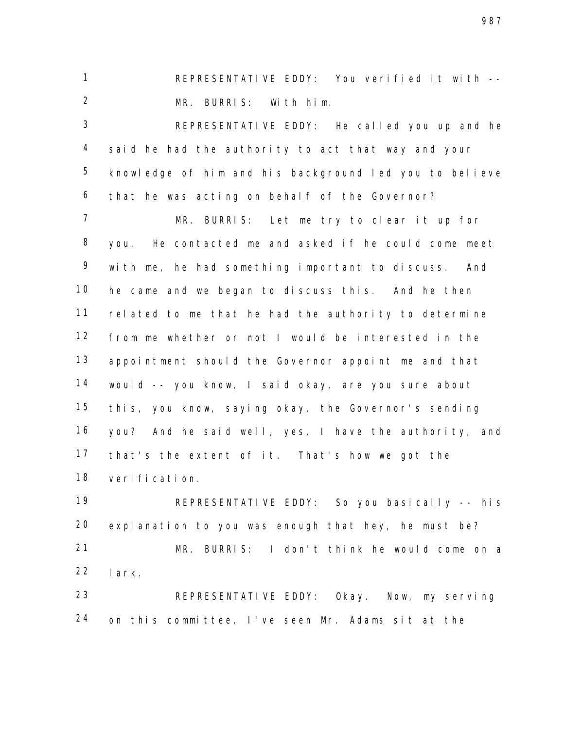REPRESENTATIVE EDDY: You verified it with -- MR. BURRIS: With him.

 REPRESENTATIVE EDDY: He called you up and he said he had the authority to act that way and your knowledge of him and his background led you to believe that he was acting on behalf of the Governor?

 MR. BURRIS: Let me try to clear it up for you. He contacted me and asked if he could come meet with me, he had something important to discuss. And he came and we began to discuss this. And he then related to me that he had the authority to determine from me whether or not I would be interested in the appointment should the Governor appoint me and that would -- you know, I said okay, are you sure about this, you know, saying okay, the Governor's sending you? And he said well, yes, I have the authority, and that's the extent of it. That's how we got the verification.

 REPRESENTATIVE EDDY: So you basically -- his explanation to you was enough that hey, he must be? MR. BURRIS: I don't think he would come on a lark. REPRESENTATIVE EDDY: Okay. Now, my serving

on this committee, I've seen Mr. Adams sit at the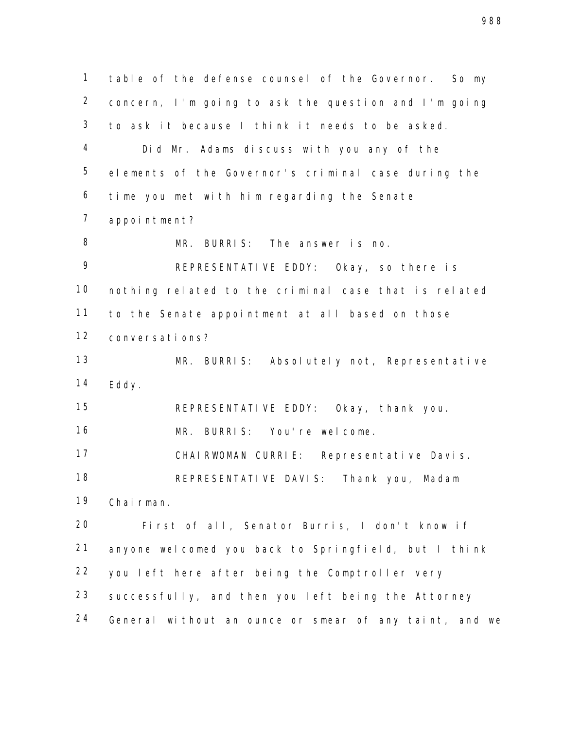table of the defense counsel of the Governor. So my concern, I'm going to ask the question and I'm going to ask it because I think it needs to be asked. Did Mr. Adams discuss with you any of the elements of the Governor's criminal case during the time you met with him regarding the Senate appointment? MR. BURRIS: The answer is no. REPRESENTATIVE EDDY: Okay, so there is nothing related to the criminal case that is related to the Senate appointment at all based on those conversations? MR. BURRIS: Absolutely not, Representative Eddy. REPRESENTATIVE EDDY: Okay, thank you. MR. BURRIS: You're welcome. CHAIRWOMAN CURRIE: Representative Davis. REPRESENTATIVE DAVIS: Thank you, Madam Chairman. First of all, Senator Burris, I don't know if anyone welcomed you back to Springfield, but I think you left here after being the Comptroller very successfully, and then you left being the Attorney General without an ounce or smear of any taint, and we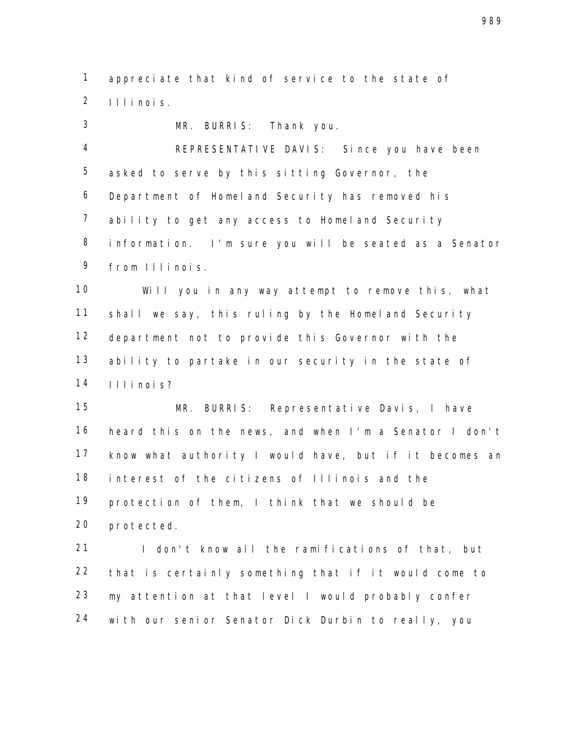appreciate that kind of service to the state of Illinois.

 MR. BURRIS: Thank you. REPRESENTATIVE DAVIS: Since you have been asked to serve by this sitting Governor, the Department of Homeland Security has removed his ability to get any access to Homeland Security information. I'm sure you will be seated as a Senator from Illinois. Will you in any way attempt to remove this, what shall we say, this ruling by the Homeland Security department not to provide this Governor with the ability to partake in our security in the state of Illinois? MR. BURRIS: Representative Davis, I have heard this on the news, and when I'm a Senator I don't know what authority I would have, but if it becomes an interest of the citizens of Illinois and the protection of them, I think that we should be protected. 21 I don't know all the ramifications of that, but that is certainly something that if it would come to

with our senior Senator Dick Durbin to really, you

my attention at that level I would probably confer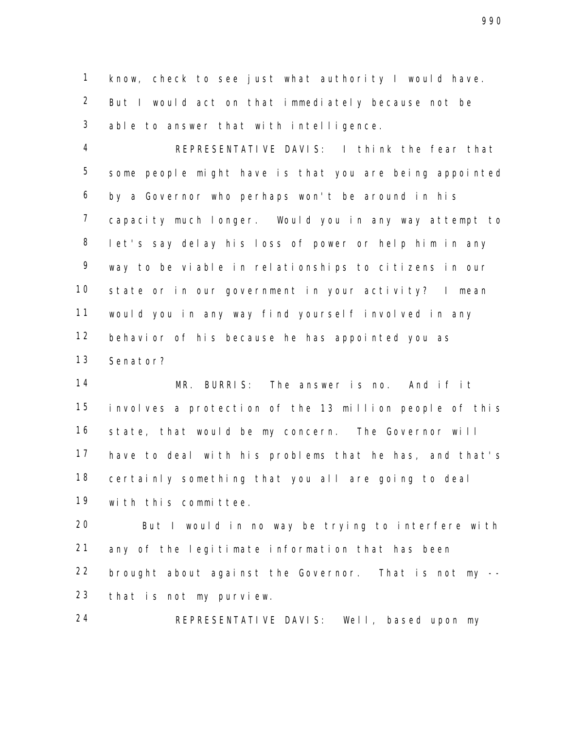know, check to see just what authority I would have. But I would act on that immediately because not be able to answer that with intelligence.

 REPRESENTATIVE DAVIS: I think the fear that some people might have is that you are being appointed by a Governor who perhaps won't be around in his capacity much longer. Would you in any way attempt to let's say delay his loss of power or help him in any way to be viable in relationships to citizens in our state or in our government in your activity? I mean would you in any way find yourself involved in any behavior of his because he has appointed you as Senator?

 MR. BURRIS: The answer is no. And if it involves a protection of the 13 million people of this state, that would be my concern. The Governor will have to deal with his problems that he has, and that's certainly something that you all are going to deal with this committee.

 But I would in no way be trying to interfere with any of the legitimate information that has been brought about against the Governor. That is not my -- that is not my purview.

REPRESENTATIVE DAVIS: Well, based upon my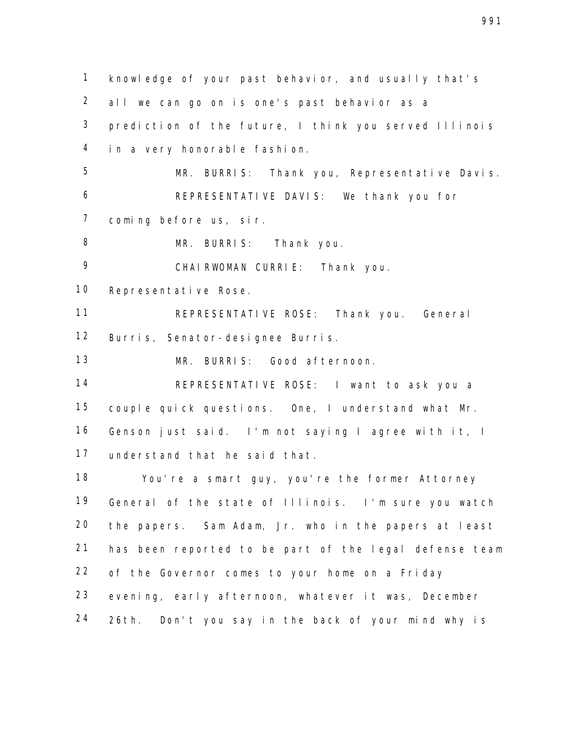knowledge of your past behavior, and usually that's all we can go on is one's past behavior as a prediction of the future, I think you served Illinois in a very honorable fashion. MR. BURRIS: Thank you, Representative Davis. REPRESENTATIVE DAVIS: We thank you for coming before us, sir. MR. BURRIS: Thank you. CHAIRWOMAN CURRIE: Thank you. Representative Rose. REPRESENTATIVE ROSE: Thank you. General Burris, Senator-designee Burris. MR. BURRIS: Good afternoon. REPRESENTATIVE ROSE: I want to ask you a couple quick questions. One, I understand what Mr. Genson just said. I'm not saying I agree with it, I understand that he said that. You're a smart guy, you're the former Attorney General of the state of Illinois. I'm sure you watch the papers. Sam Adam, Jr. who in the papers at least has been reported to be part of the legal defense team of the Governor comes to your home on a Friday evening, early afternoon, whatever it was, December 26th. Don't you say in the back of your mind why is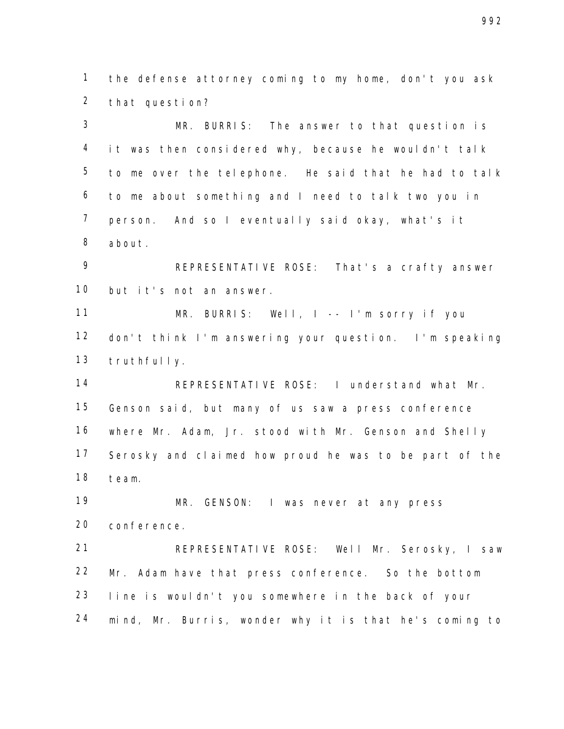the defense attorney coming to my home, don't you ask that question?

 MR. BURRIS: The answer to that question is it was then considered why, because he wouldn't talk to me over the telephone. He said that he had to talk to me about something and I need to talk two you in person. And so I eventually said okay, what's it about.

 REPRESENTATIVE ROSE: That's a crafty answer but it's not an answer.

 MR. BURRIS: Well, I -- I'm sorry if you don't think I'm answering your question. I'm speaking truthfully.

 REPRESENTATIVE ROSE: I understand what Mr. Genson said, but many of us saw a press conference where Mr. Adam, Jr. stood with Mr. Genson and Shelly Serosky and claimed how proud he was to be part of the team.

 MR. GENSON: I was never at any press conference.

 REPRESENTATIVE ROSE: Well Mr. Serosky, I saw Mr. Adam have that press conference. So the bottom line is wouldn't you somewhere in the back of your mind, Mr. Burris, wonder why it is that he's coming to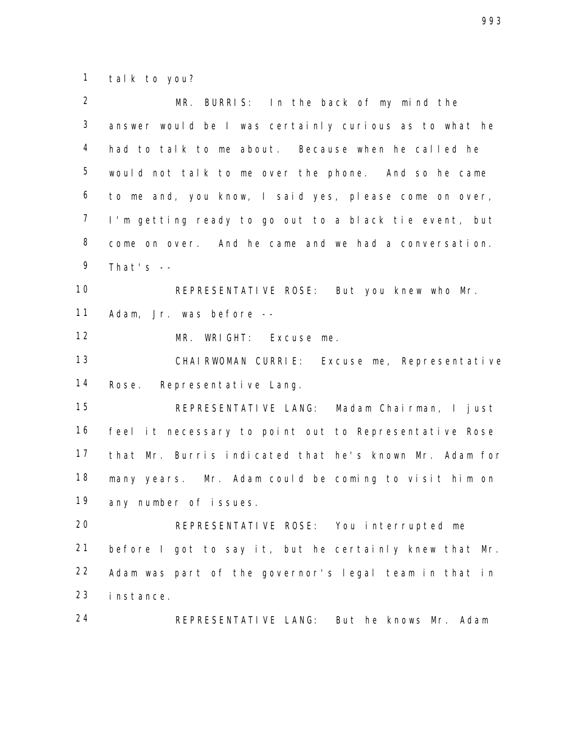talk to you?

| $\overline{2}$ | MR. BURRIS: In the back of my mind the                 |
|----------------|--------------------------------------------------------|
| $\mathfrak{Z}$ | answer would be I was certainly curious as to what he  |
| $\overline{4}$ | had to talk to me about. Because when he called he     |
| 5              | would not talk to me over the phone. And so he came    |
| 6              | to me and, you know, I said yes, please come on over,  |
| $\overline{7}$ | I'm getting ready to go out to a black tie event, but  |
| $\, 8$         | come on over. And he came and we had a conversation.   |
| 9              | That's $-$                                             |
| 10             | REPRESENTATIVE ROSE: But you knew who Mr.              |
| 11             | Adam, Jr. was before --                                |
| 12             | MR. WRIGHT: Excuse me.                                 |
| 13             | CHAIRWOMAN CURRIE: Excuse me, Representative           |
| 14             | Rose. Representative Lang.                             |
| 15             | REPRESENTATIVE LANG: Madam Chairman, I just            |
| 16             | feel it necessary to point out to Representative Rose  |
| 17             | that Mr. Burris indicated that he's known Mr. Adam for |
| 18             | many years. Mr. Adam could be coming to visit him on   |
| 19             | any number of issues.                                  |
| 20             | REPRESENTATIVE ROSE: You interrupted me                |
| 21             | before I got to say it, but he certainly knew that Mr. |
| 22             | Adam was part of the governor's legal team in that in  |
| 23             | instance.                                              |
| 24             | REPRESENTATIVE LANG: But he knows Mr. Adam             |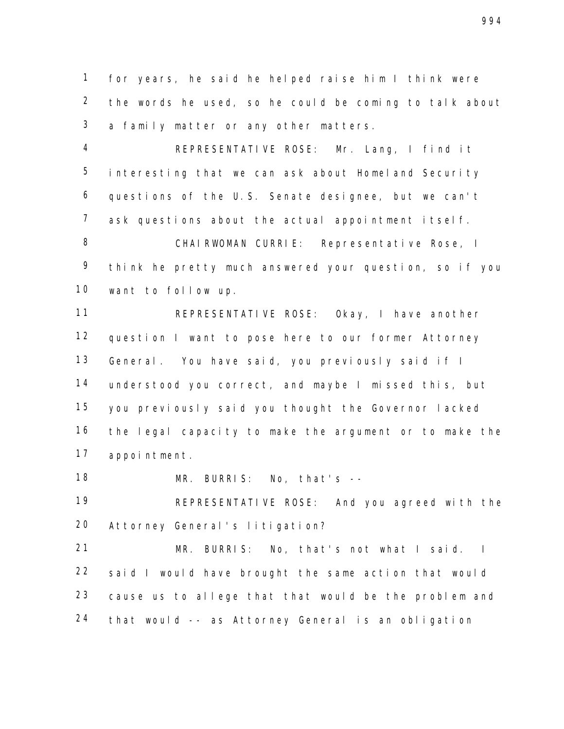for years, he said he helped raise him I think were the words he used, so he could be coming to talk about a family matter or any other matters.

 4 REPRESENTATIVE ROSE: Mr. Lang, I find it interesting that we can ask about Homeland Security questions of the U.S. Senate designee, but we can't ask questions about the actual appointment itself. CHAIRWOMAN CURRIE: Representative Rose, I think he pretty much answered your question, so if you want to follow up.

 REPRESENTATIVE ROSE: Okay, I have another question I want to pose here to our former Attorney General. You have said, you previously said if I understood you correct, and maybe I missed this, but you previously said you thought the Governor lacked the legal capacity to make the argument or to make the appointment.

MR. BURRIS: No, that's --

 REPRESENTATIVE ROSE: And you agreed with the Attorney General's litigation?

 MR. BURRIS: No, that's not what I said. I said I would have brought the same action that would cause us to allege that that would be the problem and that would -- as Attorney General is an obligation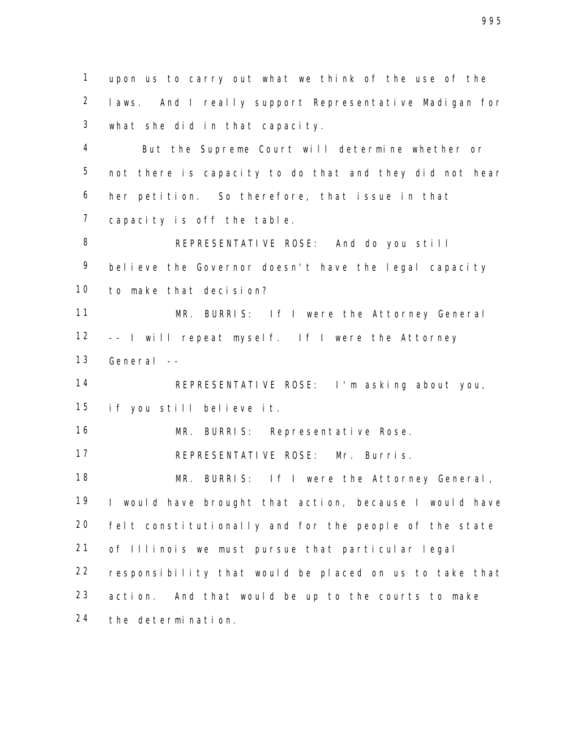upon us to carry out what we think of the use of the laws. And I really support Representative Madigan for what she did in that capacity.

 But the Supreme Court will determine whether or not there is capacity to do that and they did not hear her petition. So therefore, that issue in that capacity is off the table.

 REPRESENTATIVE ROSE: And do you still 9 believe the Governor doesn't have the legal capacity to make that decision?

 MR. BURRIS: If I were the Attorney General -- I will repeat myself. If I were the Attorney General --

 REPRESENTATIVE ROSE: I'm asking about you, if you still believe it.

MR. BURRIS: Representative Rose.

REPRESENTATIVE ROSE: Mr. Burris.

18 MR. BURRIS: If I were the Attorney General, I would have brought that action, because I would have felt constitutionally and for the people of the state of Illinois we must pursue that particular legal responsibility that would be placed on us to take that action. And that would be up to the courts to make the determination.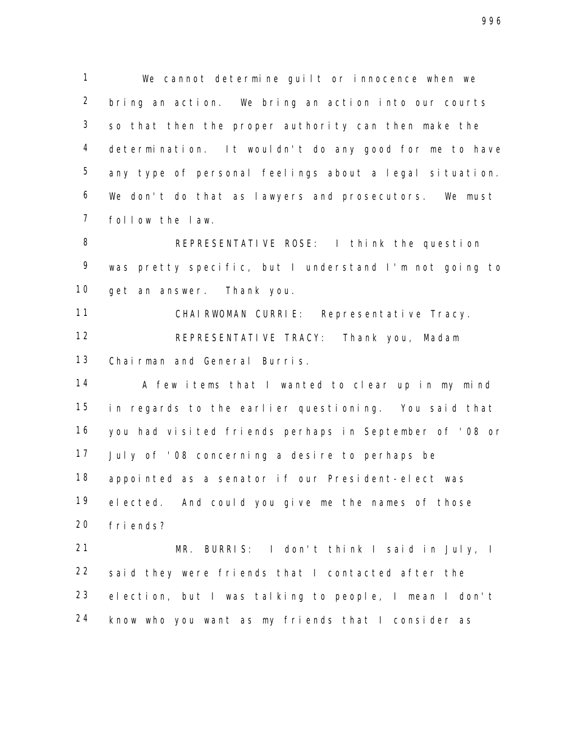We cannot determine guilt or innocence when we bring an action. We bring an action into our courts so that then the proper authority can then make the determination. It wouldn't do any good for me to have any type of personal feelings about a legal situation. We don't do that as lawyers and prosecutors. We must follow the law.

 REPRESENTATIVE ROSE: I think the question was pretty specific, but I understand I'm not going to get an answer. Thank you.

 CHAIRWOMAN CURRIE: Representative Tracy. REPRESENTATIVE TRACY: Thank you, Madam Chairman and General Burris.

14 A few items that I wanted to clear up in my mind in regards to the earlier questioning. You said that you had visited friends perhaps in September of '08 or July of '08 concerning a desire to perhaps be appointed as a senator if our President-elect was elected. And could you give me the names of those friends?

 MR. BURRIS: I don't think I said in July, I said they were friends that I contacted after the election, but I was talking to people, I mean I don't know who you want as my friends that I consider as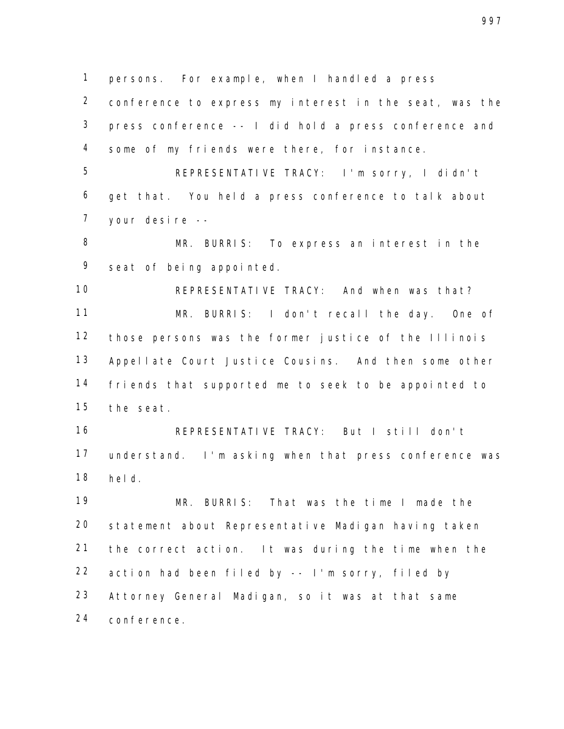persons. For example, when I handled a press

 conference to express my interest in the seat, was the press conference -- I did hold a press conference and some of my friends were there, for instance.

 5 REPRESENTATIVE TRACY: I'm sorry, I didn't get that. You held a press conference to talk about your desire --

 MR. BURRIS: To express an interest in the seat of being appointed.

 REPRESENTATIVE TRACY: And when was that? MR. BURRIS: I don't recall the day. One of those persons was the former justice of the Illinois Appellate Court Justice Cousins. And then some other friends that supported me to seek to be appointed to the seat.

 REPRESENTATIVE TRACY: But I still don't understand. I'm asking when that press conference was held.

 MR. BURRIS: That was the time I made the statement about Representative Madigan having taken the correct action. It was during the time when the action had been filed by -- I'm sorry, filed by Attorney General Madigan, so it was at that same conference.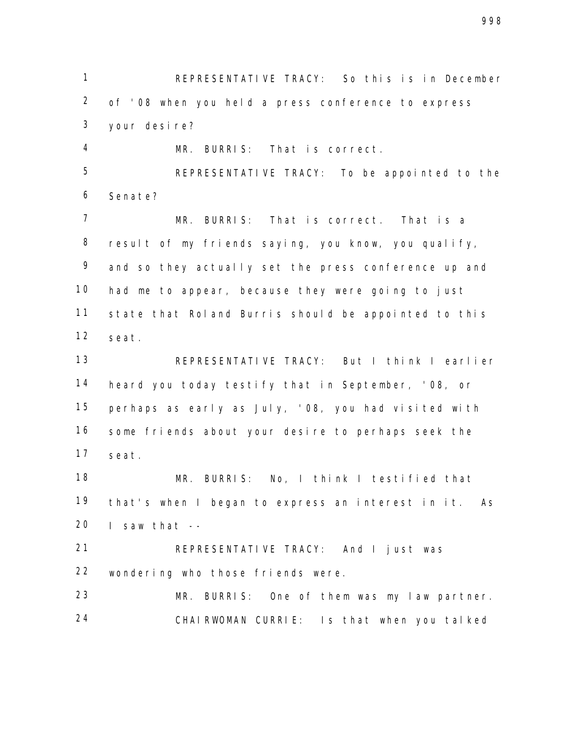1 REPRESENTATIVE TRACY: So this is in December of '08 when you held a press conference to express your desire?

MR. BURRIS: That is correct.

 REPRESENTATIVE TRACY: To be appointed to the Senate?

 MR. BURRIS: That is correct. That is a result of my friends saying, you know, you qualify, and so they actually set the press conference up and had me to appear, because they were going to just state that Roland Burris should be appointed to this seat.

 REPRESENTATIVE TRACY: But I think I earlier heard you today testify that in September, '08, or perhaps as early as July, '08, you had visited with some friends about your desire to perhaps seek the seat.

 MR. BURRIS: No, I think I testified that that's when I began to express an interest in it. As I saw that  $-$ 

 REPRESENTATIVE TRACY: And I just was wondering who those friends were.

 MR. BURRIS: One of them was my law partner. CHAIRWOMAN CURRIE: Is that when you talked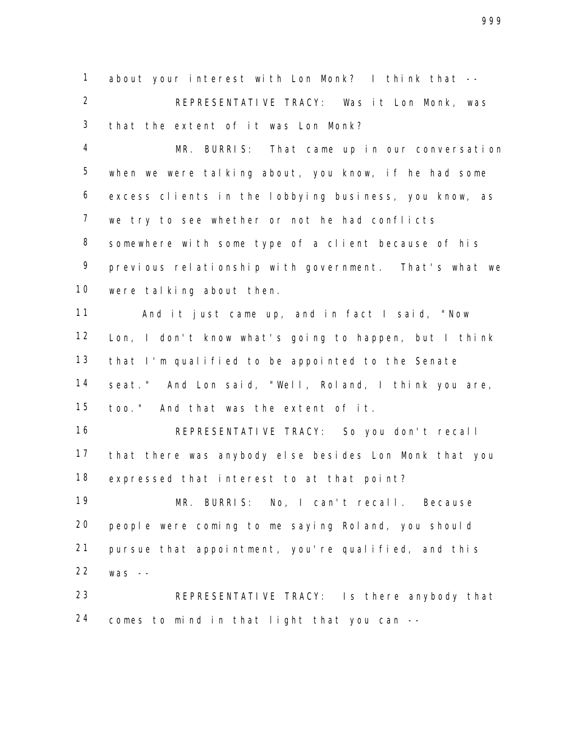about your interest with Lon Monk? I think that --

 REPRESENTATIVE TRACY: Was it Lon Monk, was that the extent of it was Lon Monk?

 MR. BURRIS: That came up in our conversation when we were talking about, you know, if he had some excess clients in the lobbying business, you know, as we try to see whether or not he had conflicts somewhere with some type of a client because of his previous relationship with government. That's what we were talking about then.

 And it just came up, and in fact I said, "Now Lon, I don't know what's going to happen, but I think that I'm qualified to be appointed to the Senate seat." And Lon said, "Well, Roland, I think you are, too." And that was the extent of it.

 REPRESENTATIVE TRACY: So you don't recall that there was anybody else besides Lon Monk that you expressed that interest to at that point?

 MR. BURRIS: No, I can't recall. Because people were coming to me saying Roland, you should pursue that appointment, you're qualified, and this was --

 REPRESENTATIVE TRACY: Is there anybody that comes to mind in that light that you can --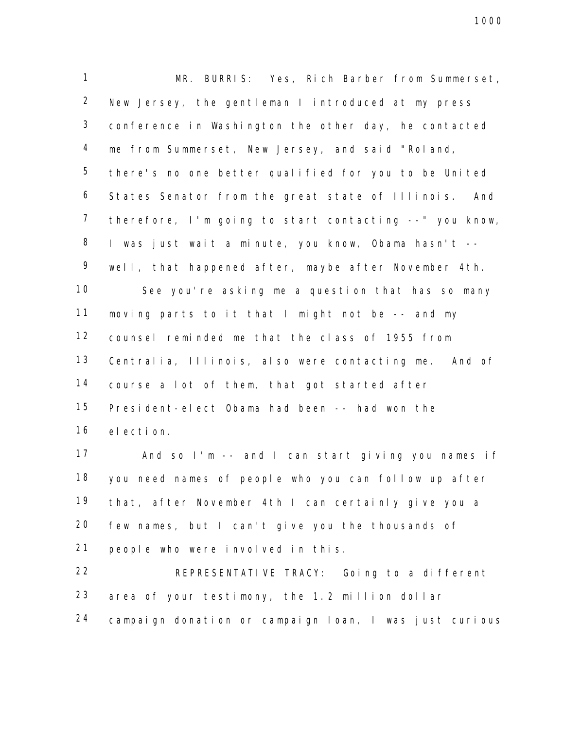MR. BURRIS: Yes, Rich Barber from Summerset, New Jersey, the gentleman I introduced at my press conference in Washington the other day, he contacted me from Summerset, New Jersey, and said "Roland, there's no one better qualified for you to be United States Senator from the great state of Illinois. And therefore, I'm going to start contacting --" you know, I was just wait a minute, you know, Obama hasn't -- well, that happened after, maybe after November 4th. See you're asking me a question that has so many moving parts to it that I might not be -- and my counsel reminded me that the class of 1955 from Centralia, Illinois, also were contacting me. And of course a lot of them, that got started after President-elect Obama had been -- had won the election.

 And so I'm -- and I can start giving you names if you need names of people who you can follow up after that, after November 4th I can certainly give you a few names, but I can't give you the thousands of people who were involved in this.

 REPRESENTATIVE TRACY: Going to a different area of your testimony, the 1.2 million dollar campaign donation or campaign loan, I was just curious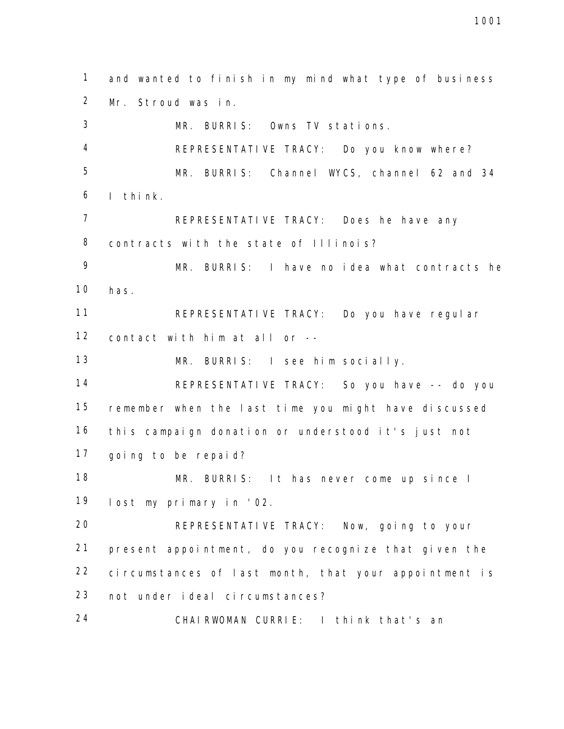and wanted to finish in my mind what type of business Mr. Stroud was in. MR. BURRIS: Owns TV stations. REPRESENTATIVE TRACY: Do you know where? MR. BURRIS: Channel WYCS, channel 62 and 34 I think. REPRESENTATIVE TRACY: Does he have any 8 contracts with the state of Illinois? MR. BURRIS: I have no idea what contracts he has. REPRESENTATIVE TRACY: Do you have regular contact with him at all or -- MR. BURRIS: I see him socially. REPRESENTATIVE TRACY: So you have -- do you remember when the last time you might have discussed this campaign donation or understood it's just not going to be repaid? MR. BURRIS: It has never come up since I lost my primary in '02. REPRESENTATIVE TRACY: Now, going to your present appointment, do you recognize that given the circumstances of last month, that your appointment is not under ideal circumstances? CHAIRWOMAN CURRIE: I think that's an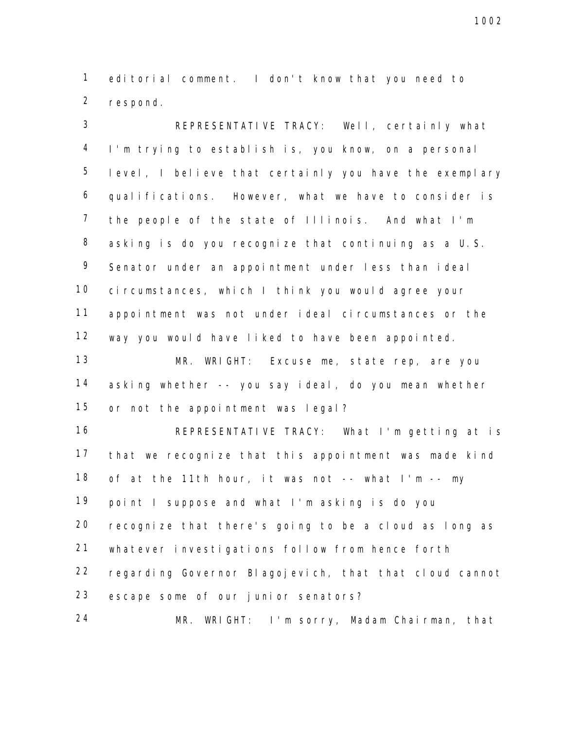editorial comment. I don't know that you need to respond.

 REPRESENTATIVE TRACY: Well, certainly what I'm trying to establish is, you know, on a personal level, I believe that certainly you have the exemplary qualifications. However, what we have to consider is the people of the state of Illinois. And what I'm asking is do you recognize that continuing as a U.S. Senator under an appointment under less than ideal circumstances, which I think you would agree your appointment was not under ideal circumstances or the way you would have liked to have been appointed.

 MR. WRIGHT: Excuse me, state rep, are you asking whether -- you say ideal, do you mean whether or not the appointment was legal?

 REPRESENTATIVE TRACY: What I'm getting at is that we recognize that this appointment was made kind of at the 11th hour, it was not -- what I'm -- my point I suppose and what I'm asking is do you recognize that there's going to be a cloud as long as whatever investigations follow from hence forth regarding Governor Blagojevich, that that cloud cannot escape some of our junior senators?

24 MR. WRIGHT: I'm sorry, Madam Chairman, that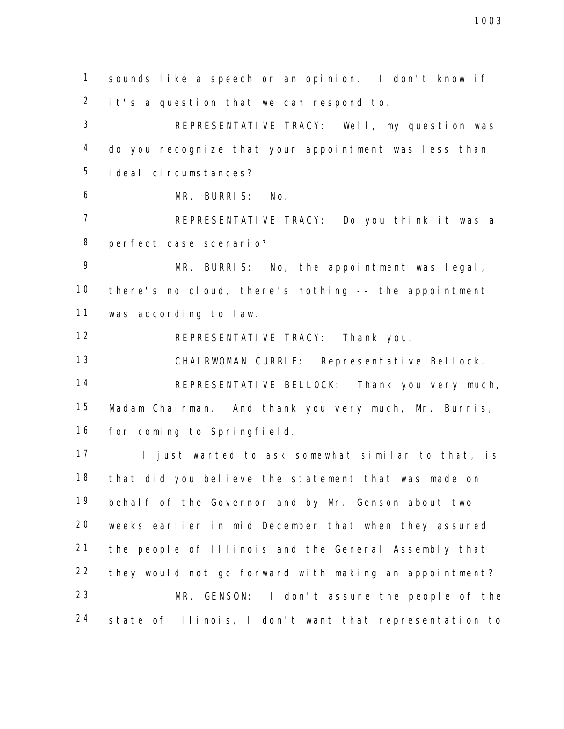sounds like a speech or an opinion. I don't know if it's a question that we can respond to.

 REPRESENTATIVE TRACY: Well, my question was do you recognize that your appointment was less than ideal circumstances?

MR. BURRIS: No.

 REPRESENTATIVE TRACY: Do you think it was a perfect case scenario?

 MR. BURRIS: No, the appointment was legal, there's no cloud, there's nothing -- the appointment was according to law.

REPRESENTATIVE TRACY: Thank you.

CHAIRWOMAN CURRIE: Representative Bellock.

 REPRESENTATIVE BELLOCK: Thank you very much, Madam Chairman. And thank you very much, Mr. Burris, for coming to Springfield.

17 I just wanted to ask somewhat similar to that, is that did you believe the statement that was made on behalf of the Governor and by Mr. Genson about two weeks earlier in mid December that when they assured the people of Illinois and the General Assembly that they would not go forward with making an appointment? MR. GENSON: I don't assure the people of the state of Illinois, I don't want that representation to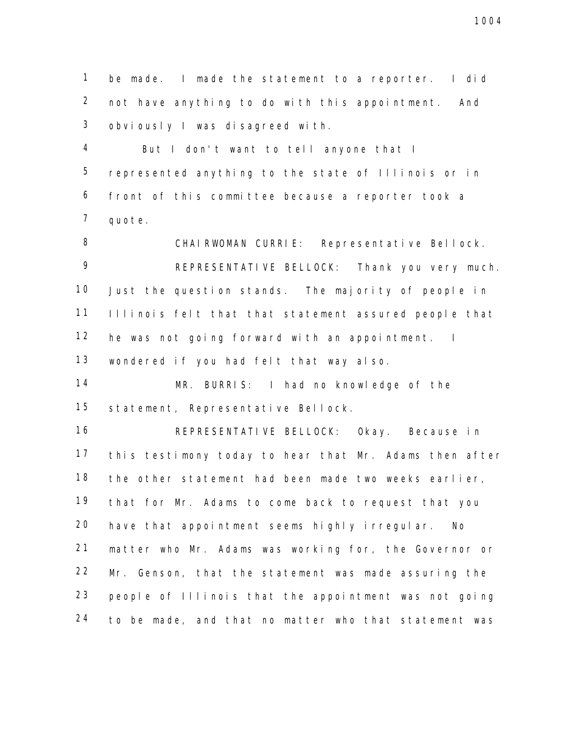be made. I made the statement to a reporter. I did not have anything to do with this appointment. And obviously I was disagreed with.

 But I don't want to tell anyone that I represented anything to the state of Illinois or in front of this committee because a reporter took a quote.

8 CHAIRWOMAN CURRIE: Representative Bellock. REPRESENTATIVE BELLOCK: Thank you very much. Just the question stands. The majority of people in Illinois felt that that statement assured people that he was not going forward with an appointment. I wondered if you had felt that way also.

 MR. BURRIS: I had no knowledge of the statement, Representative Bellock.

 REPRESENTATIVE BELLOCK: Okay. Because in this testimony today to hear that Mr. Adams then after the other statement had been made two weeks earlier, that for Mr. Adams to come back to request that you have that appointment seems highly irregular. No matter who Mr. Adams was working for, the Governor or Mr. Genson, that the statement was made assuring the people of Illinois that the appointment was not going to be made, and that no matter who that statement was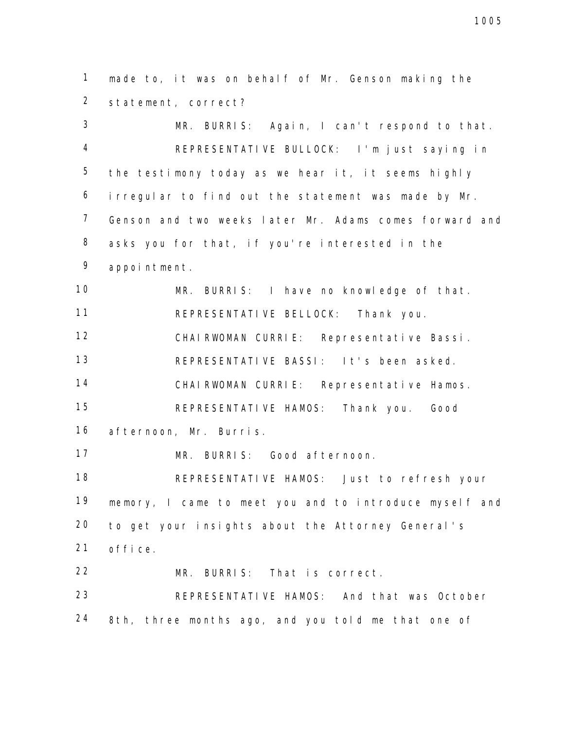made to, it was on behalf of Mr. Genson making the statement, correct?

 MR. BURRIS: Again, I can't respond to that. REPRESENTATIVE BULLOCK: I'm just saying in the testimony today as we hear it, it seems highly irregular to find out the statement was made by Mr. Genson and two weeks later Mr. Adams comes forward and asks you for that, if you're interested in the appointment. MR. BURRIS: I have no knowledge of that.

REPRESENTATIVE BELLOCK: Thank you.

CHAIRWOMAN CURRIE: Representative Bassi.

REPRESENTATIVE BASSI: It's been asked.

CHAIRWOMAN CURRIE: Representative Hamos.

 REPRESENTATIVE HAMOS: Thank you. Good afternoon, Mr. Burris.

MR. BURRIS: Good afternoon.

 REPRESENTATIVE HAMOS: Just to refresh your memory, I came to meet you and to introduce myself and to get your insights about the Attorney General's office.

MR. BURRIS: That is correct.

 REPRESENTATIVE HAMOS: And that was October 8th, three months ago, and you told me that one of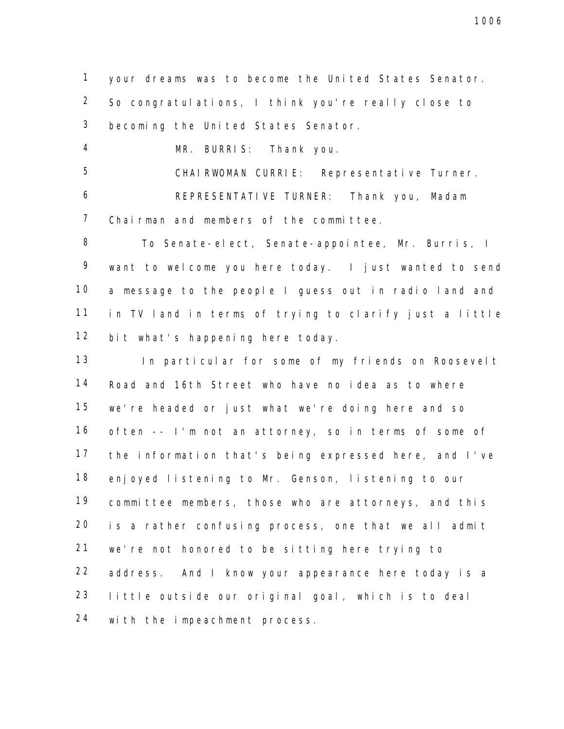your dreams was to become the United States Senator. So congratulations, I think you're really close to becoming the United States Senator.

MR. BURRIS: Thank you.

CHAIRWOMAN CURRIE: Representative Turner.

 REPRESENTATIVE TURNER: Thank you, Madam Chairman and members of the committee.

 To Senate-elect, Senate-appointee, Mr. Burris, I want to welcome you here today. I just wanted to send a message to the people I guess out in radio land and in TV land in terms of trying to clarify just a little bit what's happening here today.

 In particular for some of my friends on Roosevelt Road and 16th Street who have no idea as to where we're headed or just what we're doing here and so often -- I'm not an attorney, so in terms of some of the information that's being expressed here, and I've enjoyed listening to Mr. Genson, listening to our committee members, those who are attorneys, and this is a rather confusing process, one that we all admit we're not honored to be sitting here trying to address. And I know your appearance here today is a little outside our original goal, which is to deal with the impeachment process.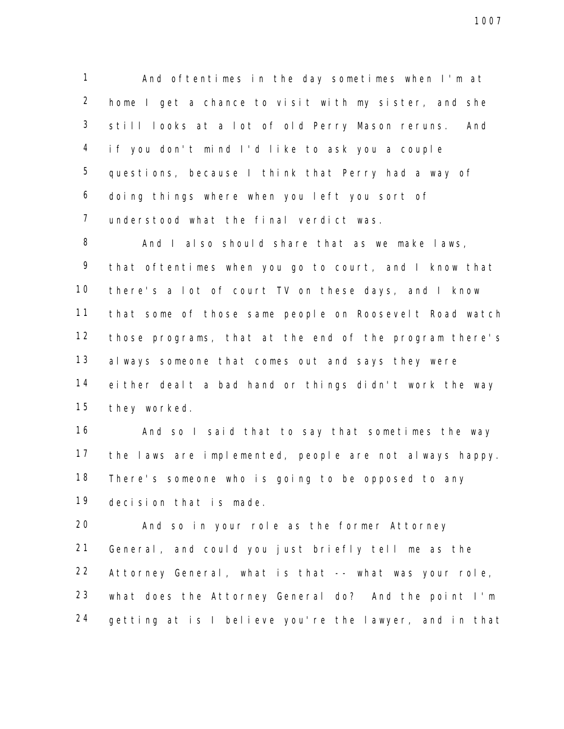And oftentimes in the day sometimes when I'm at home I get a chance to visit with my sister, and she still looks at a lot of old Perry Mason reruns. And if you don't mind I'd like to ask you a couple questions, because I think that Perry had a way of doing things where when you left you sort of understood what the final verdict was.

8 And I also should share that as we make laws, that oftentimes when you go to court, and I know that there's a lot of court TV on these days, and I know that some of those same people on Roosevelt Road watch those programs, that at the end of the program there's always someone that comes out and says they were either dealt a bad hand or things didn't work the way they worked.

 And so I said that to say that sometimes the way the laws are implemented, people are not always happy. There's someone who is going to be opposed to any decision that is made.

 And so in your role as the former Attorney General, and could you just briefly tell me as the Attorney General, what is that -- what was your role, what does the Attorney General do? And the point I'm getting at is I believe you're the lawyer, and in that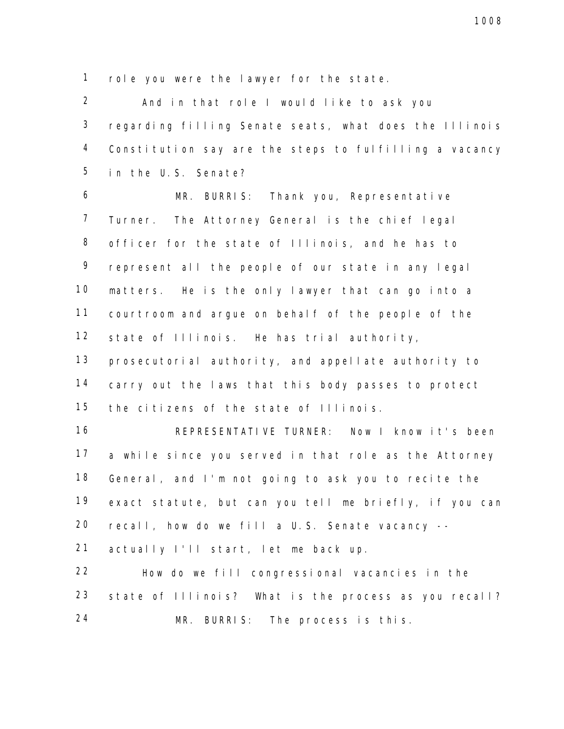role you were the lawyer for the state.

 And in that role I would like to ask you regarding filling Senate seats, what does the Illinois Constitution say are the steps to fulfilling a vacancy in the U.S. Senate?

 MR. BURRIS: Thank you, Representative Turner. The Attorney General is the chief legal officer for the state of Illinois, and he has to represent all the people of our state in any legal matters. He is the only lawyer that can go into a courtroom and argue on behalf of the people of the 12 state of Illinois. He has trial authority,

 prosecutorial authority, and appellate authority to carry out the laws that this body passes to protect 15 the citizens of the state of Illinois.

 REPRESENTATIVE TURNER: Now I know it's been a while since you served in that role as the Attorney General, and I'm not going to ask you to recite the exact statute, but can you tell me briefly, if you can recall, how do we fill a U.S. Senate vacancy --

actually I'll start, let me back up.

 How do we fill congressional vacancies in the state of Illinois? What is the process as you recall? MR. BURRIS: The process is this.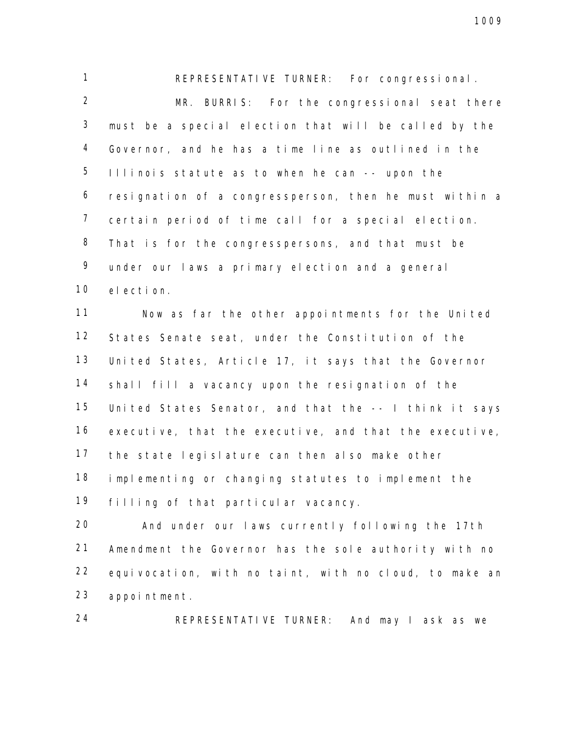REPRESENTATIVE TURNER: For congressional. MR. BURRIS: For the congressional seat there must be a special election that will be called by the Governor, and he has a time line as outlined in the Illinois statute as to when he can -- upon the resignation of a congressperson, then he must within a certain period of time call for a special election. That is for the congresspersons, and that must be under our laws a primary election and a general election.

 Now as far the other appointments for the United States Senate seat, under the Constitution of the United States, Article 17, it says that the Governor shall fill a vacancy upon the resignation of the United States Senator, and that the -- I think it says executive, that the executive, and that the executive, the state legislature can then also make other implementing or changing statutes to implement the filling of that particular vacancy.

 And under our laws currently following the 17th Amendment the Governor has the sole authority with no equivocation, with no taint, with no cloud, to make an appointment.

REPRESENTATIVE TURNER: And may I ask as we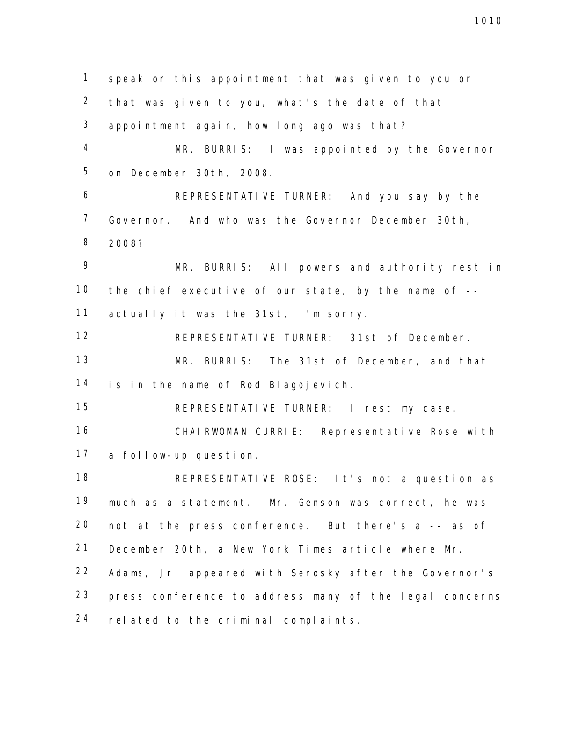speak or this appointment that was given to you or that was given to you, what's the date of that appointment again, how long ago was that? MR. BURRIS: I was appointed by the Governor on December 30th, 2008. REPRESENTATIVE TURNER: And you say by the Governor. And who was the Governor December 30th, 2008? MR. BURRIS: All powers and authority rest in the chief executive of our state, by the name of -- 11 actually it was the 31st, I'm sorry. REPRESENTATIVE TURNER: 31st of December. MR. BURRIS: The 31st of December, and that is in the name of Rod Blagojevich. REPRESENTATIVE TURNER: I rest my case. CHAIRWOMAN CURRIE: Representative Rose with a follow-up question. REPRESENTATIVE ROSE: It's not a question as much as a statement. Mr. Genson was correct, he was not at the press conference. But there's a -- as of December 20th, a New York Times article where Mr. Adams, Jr. appeared with Serosky after the Governor's press conference to address many of the legal concerns related to the criminal complaints.